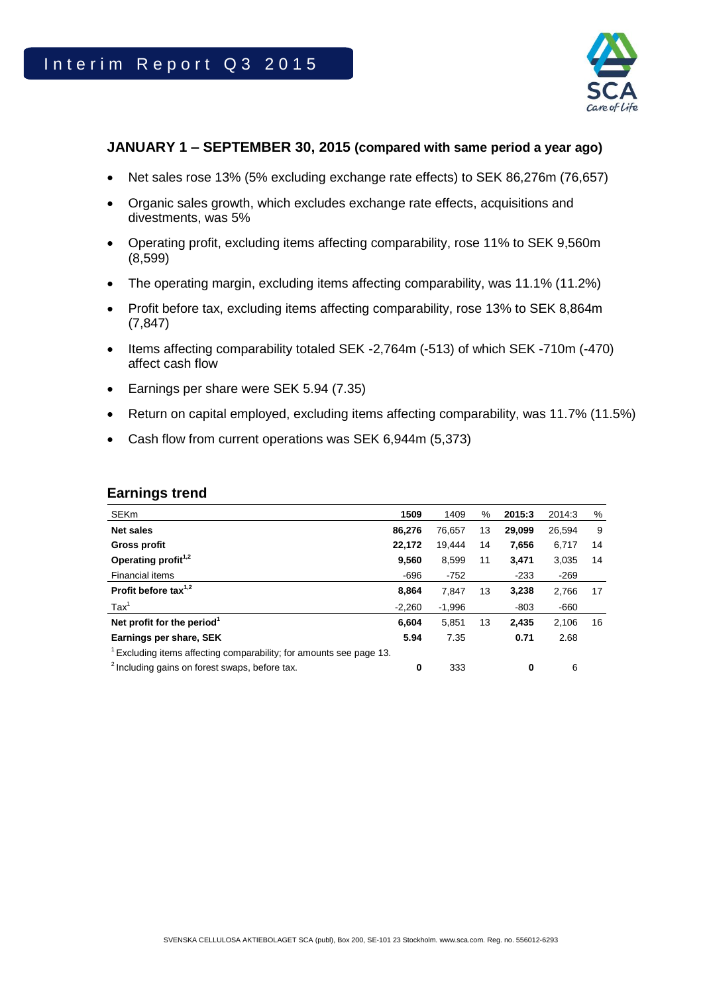

## **JANUARY 1 – SEPTEMBER 30, 2015 (compared with same period a year ago)**

- Net sales rose 13% (5% excluding exchange rate effects) to SEK 86,276m (76,657)
- Organic sales growth, which excludes exchange rate effects, acquisitions and divestments, was 5%
- Operating profit, excluding items affecting comparability, rose 11% to SEK 9,560m (8,599)
- The operating margin, excluding items affecting comparability, was 11.1% (11.2%)
- Profit before tax, excluding items affecting comparability, rose 13% to SEK 8,864m (7,847)
- Items affecting comparability totaled SEK -2,764m (-513) of which SEK -710m (-470) affect cash flow
- Earnings per share were SEK 5.94 (7.35)
- Return on capital employed, excluding items affecting comparability, was 11.7% (11.5%)
- Cash flow from current operations was SEK 6,944m (5,373)

| <b>Earnings trend</b> |  |
|-----------------------|--|
|-----------------------|--|

| <b>SEKm</b>                                                       | 1509     | 1409     | %  | 2015:3   | 2014:3 | %  |
|-------------------------------------------------------------------|----------|----------|----|----------|--------|----|
| <b>Net sales</b>                                                  | 86,276   | 76.657   | 13 | 29,099   | 26,594 | 9  |
| <b>Gross profit</b>                                               | 22,172   | 19.444   | 14 | 7,656    | 6,717  | 14 |
| Operating profit <sup>1,2</sup>                                   | 9,560    | 8,599    | 11 | 3,471    | 3,035  | 14 |
| Financial items                                                   | $-696$   | $-752$   |    | $-233$   | $-269$ |    |
| Profit before tax $1,2$                                           | 8,864    | 7.847    | 13 | 3.238    | 2,766  | 17 |
| $\text{Tax}^1$                                                    | $-2,260$ | $-1,996$ |    | $-803$   | $-660$ |    |
| Net profit for the period <sup>1</sup>                            | 6,604    | 5,851    | 13 | 2,435    | 2.106  | 16 |
| Earnings per share, SEK                                           | 5.94     | 7.35     |    | 0.71     | 2.68   |    |
| Excluding items affecting comparability; for amounts see page 13. |          |          |    |          |        |    |
| <sup>2</sup> Including gains on forest swaps, before tax.         | 0        | 333      |    | $\bf{0}$ | 6      |    |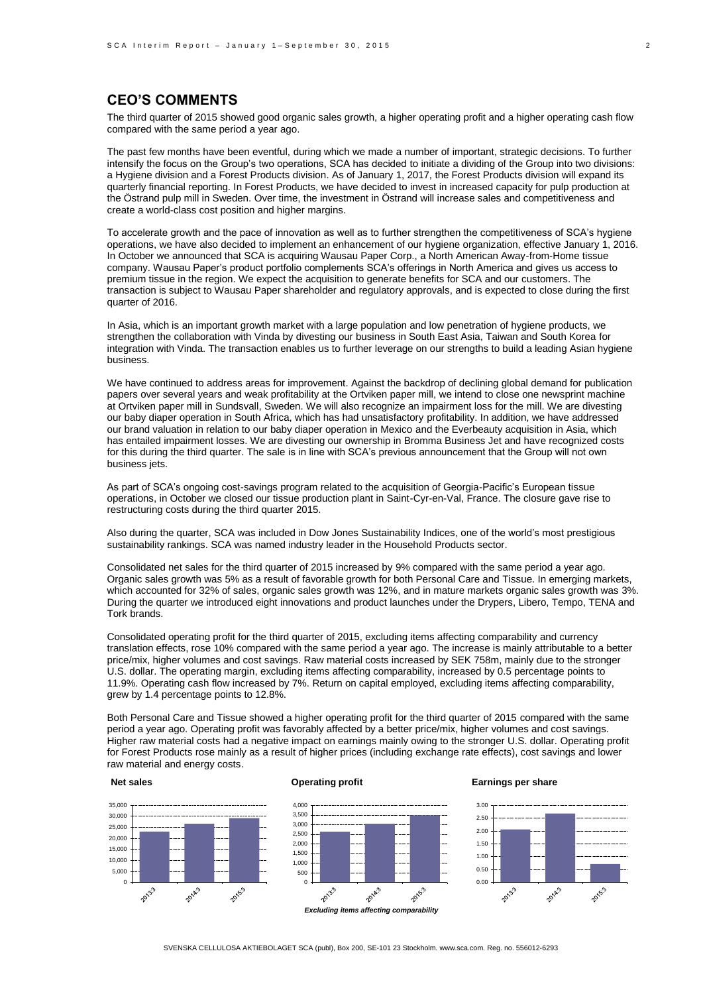## **CEO'S COMMENTS**

The third quarter of 2015 showed good organic sales growth, a higher operating profit and a higher operating cash flow compared with the same period a year ago.

The past few months have been eventful, during which we made a number of important, strategic decisions. To further intensify the focus on the Group's two operations, SCA has decided to initiate a dividing of the Group into two divisions: a Hygiene division and a Forest Products division. As of January 1, 2017, the Forest Products division will expand its quarterly financial reporting. In Forest Products, we have decided to invest in increased capacity for pulp production at the Östrand pulp mill in Sweden. Over time, the investment in Östrand will increase sales and competitiveness and create a world-class cost position and higher margins.

To accelerate growth and the pace of innovation as well as to further strengthen the competitiveness of SCA's hygiene operations, we have also decided to implement an enhancement of our hygiene organization, effective January 1, 2016. In October we announced that SCA is acquiring Wausau Paper Corp., a North American Away-from-Home tissue company. Wausau Paper's product portfolio complements SCA's offerings in North America and gives us access to premium tissue in the region. We expect the acquisition to generate benefits for SCA and our customers. The transaction is subject to Wausau Paper shareholder and regulatory approvals, and is expected to close during the first quarter of 2016.

In Asia, which is an important growth market with a large population and low penetration of hygiene products, we strengthen the collaboration with Vinda by divesting our business in South East Asia, Taiwan and South Korea for integration with Vinda. The transaction enables us to further leverage on our strengths to build a leading Asian hygiene business.

We have continued to address areas for improvement. Against the backdrop of declining global demand for publication papers over several years and weak profitability at the Ortviken paper mill, we intend to close one newsprint machine at Ortviken paper mill in Sundsvall, Sweden. We will also recognize an impairment loss for the mill. We are divesting our baby diaper operation in South Africa, which has had unsatisfactory profitability. In addition, we have addressed our brand valuation in relation to our baby diaper operation in Mexico and the Everbeauty acquisition in Asia, which has entailed impairment losses. We are divesting our ownership in Bromma Business Jet and have recognized costs for this during the third quarter. The sale is in line with SCA's previous announcement that the Group will not own business jets.

As part of SCA's ongoing cost-savings program related to the acquisition of Georgia-Pacific's European tissue operations, in October we closed our tissue production plant in Saint-Cyr-en-Val, France. The closure gave rise to restructuring costs during the third quarter 2015.

Also during the quarter, SCA was included in Dow Jones Sustainability Indices, one of the world's most prestigious sustainability rankings. SCA was named industry leader in the Household Products sector.

Consolidated net sales for the third quarter of 2015 increased by 9% compared with the same period a year ago. Organic sales growth was 5% as a result of favorable growth for both Personal Care and Tissue. In emerging markets, which accounted for 32% of sales, organic sales growth was 12%, and in mature markets organic sales growth was 3%. During the quarter we introduced eight innovations and product launches under the Drypers, Libero, Tempo, TENA and Tork brands.

Consolidated operating profit for the third quarter of 2015, excluding items affecting comparability and currency translation effects, rose 10% compared with the same period a year ago. The increase is mainly attributable to a better price/mix, higher volumes and cost savings. Raw material costs increased by SEK 758m, mainly due to the stronger U.S. dollar. The operating margin, excluding items affecting comparability, increased by 0.5 percentage points to 11.9%. Operating cash flow increased by 7%. Return on capital employed, excluding items affecting comparability, grew by 1.4 percentage points to 12.8%.

Both Personal Care and Tissue showed a higher operating profit for the third quarter of 2015 compared with the same period a year ago. Operating profit was favorably affected by a better price/mix, higher volumes and cost savings. Higher raw material costs had a negative impact on earnings mainly owing to the stronger U.S. dollar. Operating profit for Forest Products rose mainly as a result of higher prices (including exchange rate effects), cost savings and lower raw material and energy costs.

#### **Net sales**

### **Operating profit**



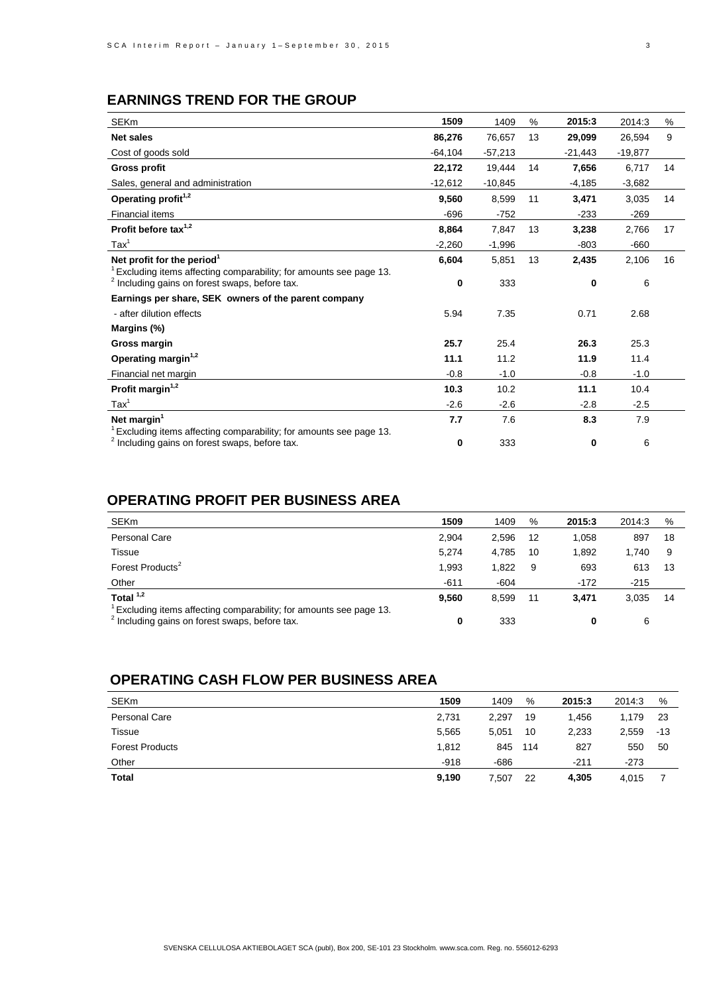# **EARNINGS TREND FOR THE GROUP**

| <b>SEKm</b>                                                                                                                                 | 1509      | 1409      | %  | 2015:3    | 2014:3    | %  |
|---------------------------------------------------------------------------------------------------------------------------------------------|-----------|-----------|----|-----------|-----------|----|
| <b>Net sales</b>                                                                                                                            | 86,276    | 76.657    | 13 | 29,099    | 26.594    | 9  |
| Cost of goods sold                                                                                                                          | $-64,104$ | $-57,213$ |    | $-21,443$ | $-19,877$ |    |
| <b>Gross profit</b>                                                                                                                         | 22,172    | 19,444    | 14 | 7,656     | 6,717     | 14 |
| Sales, general and administration                                                                                                           | $-12,612$ | $-10,845$ |    | $-4,185$  | $-3,682$  |    |
| Operating profit <sup>1,2</sup>                                                                                                             | 9.560     | 8,599     | 11 | 3,471     | 3,035     | 14 |
| <b>Financial items</b>                                                                                                                      | $-696$    | $-752$    |    | $-233$    | $-269$    |    |
| Profit before tax <sup>1,2</sup>                                                                                                            | 8,864     | 7,847     | 13 | 3,238     | 2,766     | 17 |
| $\text{Tax}^1$                                                                                                                              | $-2,260$  | $-1,996$  |    | $-803$    | $-660$    |    |
| Net profit for the period <sup>1</sup>                                                                                                      | 6,604     | 5,851     | 13 | 2,435     | 2,106     | 16 |
| Excluding items affecting comparability; for amounts see page 13.<br><sup>2</sup> Including gains on forest swaps, before tax.              | 0         | 333       |    | 0         | 6         |    |
| Earnings per share, SEK owners of the parent company                                                                                        |           |           |    |           |           |    |
| - after dilution effects                                                                                                                    | 5.94      | 7.35      |    | 0.71      | 2.68      |    |
| Margins (%)                                                                                                                                 |           |           |    |           |           |    |
| Gross margin                                                                                                                                | 25.7      | 25.4      |    | 26.3      | 25.3      |    |
| Operating margin <sup>1,2</sup>                                                                                                             | 11.1      | 11.2      |    | 11.9      | 11.4      |    |
| Financial net margin                                                                                                                        | $-0.8$    | $-1.0$    |    | $-0.8$    | $-1.0$    |    |
| Profit margin <sup>1,2</sup>                                                                                                                | 10.3      | 10.2      |    | 11.1      | 10.4      |    |
| $\text{Tax}^1$                                                                                                                              | $-2.6$    | $-2.6$    |    | $-2.8$    | $-2.5$    |    |
| Net margin $1$                                                                                                                              | 7.7       | 7.6       |    | 8.3       | 7.9       |    |
| <sup>1</sup> Excluding items affecting comparability; for amounts see page 13.<br><sup>2</sup> Including gains on forest swaps, before tax. | 0         | 333       |    | 0         | 6         |    |

# **OPERATING PROFIT PER BUSINESS AREA**

| <b>SEKm</b>                                                                                                                    | 1509   | 1409   | %  | 2015:3 | 2014:3 | %  |
|--------------------------------------------------------------------------------------------------------------------------------|--------|--------|----|--------|--------|----|
| <b>Personal Care</b>                                                                                                           | 2.904  | 2.596  | 12 | 1,058  | 897    | 18 |
| Tissue                                                                                                                         | 5.274  | 4.785  | 10 | 1.892  | 1.740  | 9  |
| Forest Products <sup>2</sup>                                                                                                   | 1.993  | 1.822  | 9  | 693    | 613    | 13 |
| Other                                                                                                                          | $-611$ | $-604$ |    | $-172$ | $-215$ |    |
| Total $1,2$                                                                                                                    | 9,560  | 8.599  | 11 | 3.471  | 3.035  | 14 |
| Excluding items affecting comparability; for amounts see page 13.<br><sup>2</sup> Including gains on forest swaps, before tax. | 0      | 333    |    |        | 6      |    |

## **OPERATING CASH FLOW PER BUSINESS AREA**

| <b>SEKm</b>            | 1509   | 1409   | %   | 2015:3 | 2014:3 | %   |
|------------------------|--------|--------|-----|--------|--------|-----|
| Personal Care          | 2,731  | 2.297  | 19  | 1.456  | 1.179  | 23  |
| Tissue                 | 5,565  | 5.051  | 10  | 2,233  | 2,559  | -13 |
| <b>Forest Products</b> | 1,812  | 845    | 114 | 827    | 550    | 50  |
| Other                  | $-918$ | $-686$ |     | -211   | $-273$ |     |
| <b>Total</b>           | 9,190  | 7,507  | 22  | 4,305  | 4,015  |     |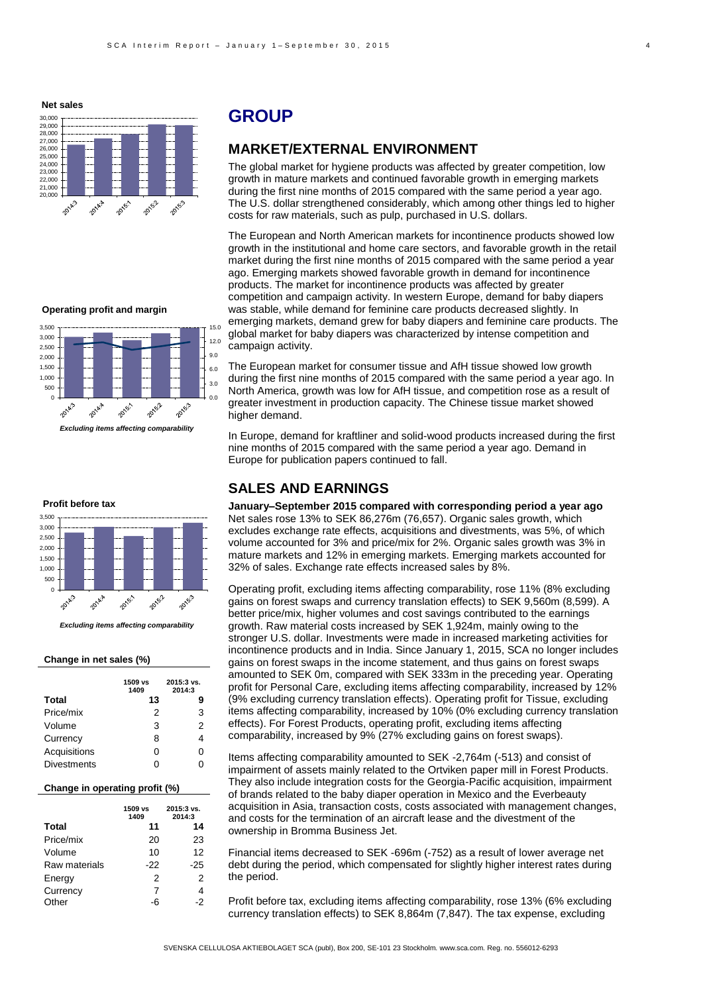**Net sales**



## **GROUP**

## **MARKET/EXTERNAL ENVIRONMENT**

The global market for hygiene products was affected by greater competition, low growth in mature markets and continued favorable growth in emerging markets during the first nine months of 2015 compared with the same period a year ago. The U.S. dollar strengthened considerably, which among other things led to higher costs for raw materials, such as pulp, purchased in U.S. dollars.

The European and North American markets for incontinence products showed low growth in the institutional and home care sectors, and favorable growth in the retail market during the first nine months of 2015 compared with the same period a year ago. Emerging markets showed favorable growth in demand for incontinence products. The market for incontinence products was affected by greater competition and campaign activity. In western Europe, demand for baby diapers was stable, while demand for feminine care products decreased slightly. In emerging markets, demand grew for baby diapers and feminine care products. The global market for baby diapers was characterized by intense competition and campaign activity.

The European market for consumer tissue and AfH tissue showed low growth during the first nine months of 2015 compared with the same period a year ago. In North America, growth was low for AfH tissue, and competition rose as a result of greater investment in production capacity. The Chinese tissue market showed higher demand.

In Europe, demand for kraftliner and solid-wood products increased during the first nine months of 2015 compared with the same period a year ago. Demand in Europe for publication papers continued to fall.

## **SALES AND EARNINGS**

**January–September 2015 compared with corresponding period a year ago** Net sales rose 13% to SEK 86,276m (76,657). Organic sales growth, which excludes exchange rate effects, acquisitions and divestments, was 5%, of which volume accounted for 3% and price/mix for 2%. Organic sales growth was 3% in mature markets and 12% in emerging markets. Emerging markets accounted for 32% of sales. Exchange rate effects increased sales by 8%.

Operating profit, excluding items affecting comparability, rose 11% (8% excluding gains on forest swaps and currency translation effects) to SEK 9,560m (8,599). A better price/mix, higher volumes and cost savings contributed to the earnings growth. Raw material costs increased by SEK 1,924m, mainly owing to the stronger U.S. dollar. Investments were made in increased marketing activities for incontinence products and in India. Since January 1, 2015, SCA no longer includes gains on forest swaps in the income statement, and thus gains on forest swaps amounted to SEK 0m, compared with SEK 333m in the preceding year. Operating profit for Personal Care, excluding items affecting comparability, increased by 12% (9% excluding currency translation effects). Operating profit for Tissue, excluding items affecting comparability, increased by 10% (0% excluding currency translation effects). For Forest Products, operating profit, excluding items affecting comparability, increased by 9% (27% excluding gains on forest swaps).

Items affecting comparability amounted to SEK -2,764m (-513) and consist of impairment of assets mainly related to the Ortviken paper mill in Forest Products. They also include integration costs for the Georgia-Pacific acquisition, impairment of brands related to the baby diaper operation in Mexico and the Everbeauty acquisition in Asia, transaction costs, costs associated with management changes, and costs for the termination of an aircraft lease and the divestment of the ownership in Bromma Business Jet.

Financial items decreased to SEK -696m (-752) as a result of lower average net debt during the period, which compensated for slightly higher interest rates during the period.

Profit before tax, excluding items affecting comparability, rose 13% (6% excluding currency translation effects) to SEK 8,864m (7,847). The tax expense, excluding

#### **Operating profit and margin**



*Excluding items affecting comparability*

#### **Profit before tax**



*Excluding items affecting comparability*

### **Change in net sales (%)**

|                    | 1509 vs<br>1409 | 2015:3 vs.<br>2014:3 |
|--------------------|-----------------|----------------------|
| Total              | 13              | 9                    |
| Price/mix          | 2               | 3                    |
| Volume             | 3               | 2                    |
| Currency           | 8               | 4                    |
| Acquisitions       | ი               | 0                    |
| <b>Divestments</b> | ი               | ი                    |

### **Change in operating profit (%)**

|               | 1509 vs<br>1409 | 2015:3 vs.<br>2014:3 |
|---------------|-----------------|----------------------|
| <b>Total</b>  | 11              | 14                   |
| Price/mix     | 20              | 23                   |
| Volume        | 10              | 12                   |
| Raw materials | -22             | $-25$                |
| Energy        | 2               | 2                    |
| Currency      | 7               | 4                    |
| Other         | -6              | -2                   |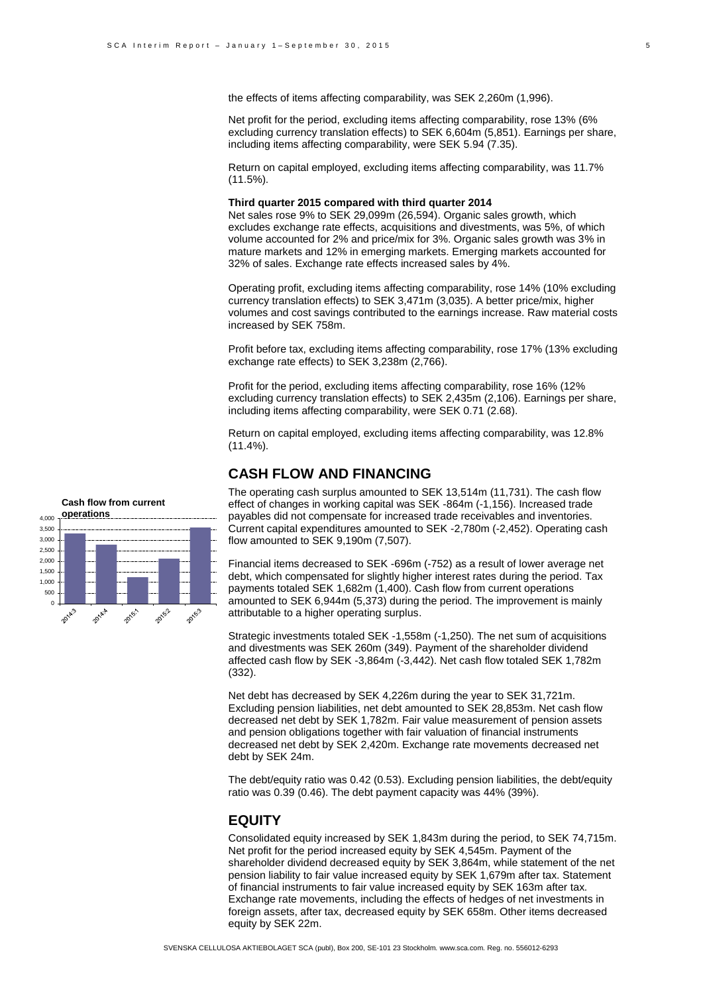the effects of items affecting comparability, was SEK 2,260m (1,996).

Net profit for the period, excluding items affecting comparability, rose 13% (6% excluding currency translation effects) to SEK 6,604m (5,851). Earnings per share, including items affecting comparability, were SEK 5.94 (7.35).

Return on capital employed, excluding items affecting comparability, was 11.7% (11.5%).

### **Third quarter 2015 compared with third quarter 2014**

Net sales rose 9% to SEK 29,099m (26,594). Organic sales growth, which excludes exchange rate effects, acquisitions and divestments, was 5%, of which volume accounted for 2% and price/mix for 3%. Organic sales growth was 3% in mature markets and 12% in emerging markets. Emerging markets accounted for 32% of sales. Exchange rate effects increased sales by 4%.

Operating profit, excluding items affecting comparability, rose 14% (10% excluding currency translation effects) to SEK 3,471m (3,035). A better price/mix, higher volumes and cost savings contributed to the earnings increase. Raw material costs increased by SEK 758m.

Profit before tax, excluding items affecting comparability, rose 17% (13% excluding exchange rate effects) to SEK 3,238m (2,766).

Profit for the period, excluding items affecting comparability, rose 16% (12% excluding currency translation effects) to SEK 2,435m (2,106). Earnings per share, including items affecting comparability, were SEK 0.71 (2.68).

Return on capital employed, excluding items affecting comparability, was 12.8% (11.4%).

### **CASH FLOW AND FINANCING**

The operating cash surplus amounted to SEK 13,514m (11,731). The cash flow effect of changes in working capital was SEK -864m (-1,156). Increased trade payables did not compensate for increased trade receivables and inventories. Current capital expenditures amounted to SEK -2,780m (-2,452). Operating cash flow amounted to SEK 9,190m (7,507).

Financial items decreased to SEK -696m (-752) as a result of lower average net debt, which compensated for slightly higher interest rates during the period. Tax payments totaled SEK 1,682m (1,400). Cash flow from current operations amounted to SEK 6,944m (5,373) during the period. The improvement is mainly attributable to a higher operating surplus.

Strategic investments totaled SEK -1,558m (-1,250). The net sum of acquisitions and divestments was SEK 260m (349). Payment of the shareholder dividend affected cash flow by SEK -3,864m (-3,442). Net cash flow totaled SEK 1,782m (332).

Net debt has decreased by SEK 4,226m during the year to SEK 31,721m. Excluding pension liabilities, net debt amounted to SEK 28,853m. Net cash flow decreased net debt by SEK 1,782m. Fair value measurement of pension assets and pension obligations together with fair valuation of financial instruments decreased net debt by SEK 2,420m. Exchange rate movements decreased net debt by SEK 24m.

The debt/equity ratio was 0.42 (0.53). Excluding pension liabilities, the debt/equity ratio was 0.39 (0.46). The debt payment capacity was 44% (39%).

## **EQUITY**

Consolidated equity increased by SEK 1,843m during the period, to SEK 74,715m. Net profit for the period increased equity by SEK 4,545m. Payment of the shareholder dividend decreased equity by SEK 3,864m, while statement of the net pension liability to fair value increased equity by SEK 1,679m after tax. Statement of financial instruments to fair value increased equity by SEK 163m after tax. Exchange rate movements, including the effects of hedges of net investments in foreign assets, after tax, decreased equity by SEK 658m. Other items decreased equity by SEK 22m.

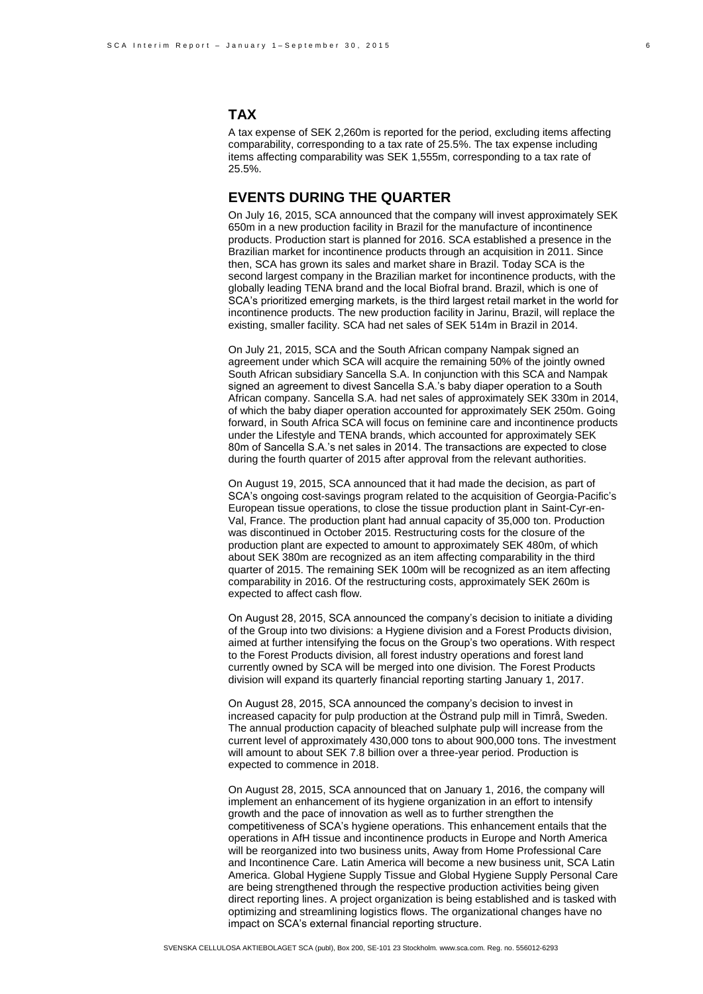## **TAX**

A tax expense of SEK 2,260m is reported for the period, excluding items affecting comparability, corresponding to a tax rate of 25.5%. The tax expense including items affecting comparability was SEK 1,555m, corresponding to a tax rate of 25.5%.

## **EVENTS DURING THE QUARTER**

On July 16, 2015, SCA announced that the company will invest approximately SEK 650m in a new production facility in Brazil for the manufacture of incontinence products. Production start is planned for 2016. SCA established a presence in the Brazilian market for incontinence products through an acquisition in 2011. Since then, SCA has grown its sales and market share in Brazil. Today SCA is the second largest company in the Brazilian market for incontinence products, with the globally leading TENA brand and the local Biofral brand. Brazil, which is one of SCA's prioritized emerging markets, is the third largest retail market in the world for incontinence products. The new production facility in Jarinu, Brazil, will replace the existing, smaller facility. SCA had net sales of SEK 514m in Brazil in 2014.

On July 21, 2015, SCA and the South African company Nampak signed an agreement under which SCA will acquire the remaining 50% of the jointly owned South African subsidiary Sancella S.A. In conjunction with this SCA and Nampak signed an agreement to divest Sancella S.A.'s baby diaper operation to a South African company. Sancella S.A. had net sales of approximately SEK 330m in 2014, of which the baby diaper operation accounted for approximately SEK 250m. Going forward, in South Africa SCA will focus on feminine care and incontinence products under the Lifestyle and TENA brands, which accounted for approximately SEK 80m of Sancella S.A.'s net sales in 2014. The transactions are expected to close during the fourth quarter of 2015 after approval from the relevant authorities.

On August 19, 2015, SCA announced that it had made the decision, as part of SCA's ongoing cost-savings program related to the acquisition of Georgia-Pacific's European tissue operations, to close the tissue production plant in Saint-Cyr-en-Val, France. The production plant had annual capacity of 35,000 ton. Production was discontinued in October 2015. Restructuring costs for the closure of the production plant are expected to amount to approximately SEK 480m, of which about SEK 380m are recognized as an item affecting comparability in the third quarter of 2015. The remaining SEK 100m will be recognized as an item affecting comparability in 2016. Of the restructuring costs, approximately SEK 260m is expected to affect cash flow.

On August 28, 2015, SCA announced the company's decision to initiate a dividing of the Group into two divisions: a Hygiene division and a Forest Products division, aimed at further intensifying the focus on the Group's two operations. With respect to the Forest Products division, all forest industry operations and forest land currently owned by SCA will be merged into one division. The Forest Products division will expand its quarterly financial reporting starting January 1, 2017.

On August 28, 2015, SCA announced the company's decision to invest in increased capacity for pulp production at the Östrand pulp mill in Timrå, Sweden. The annual production capacity of bleached sulphate pulp will increase from the current level of approximately 430,000 tons to about 900,000 tons. The investment will amount to about SEK 7.8 billion over a three-year period. Production is expected to commence in 2018.

On August 28, 2015, SCA announced that on January 1, 2016, the company will implement an enhancement of its hygiene organization in an effort to intensify growth and the pace of innovation as well as to further strengthen the competitiveness of SCA's hygiene operations. This enhancement entails that the operations in AfH tissue and incontinence products in Europe and North America will be reorganized into two business units, Away from Home Professional Care and Incontinence Care. Latin America will become a new business unit, SCA Latin America. Global Hygiene Supply Tissue and Global Hygiene Supply Personal Care are being strengthened through the respective production activities being given direct reporting lines. A project organization is being established and is tasked with optimizing and streamlining logistics flows. The organizational changes have no impact on SCA's external financial reporting structure.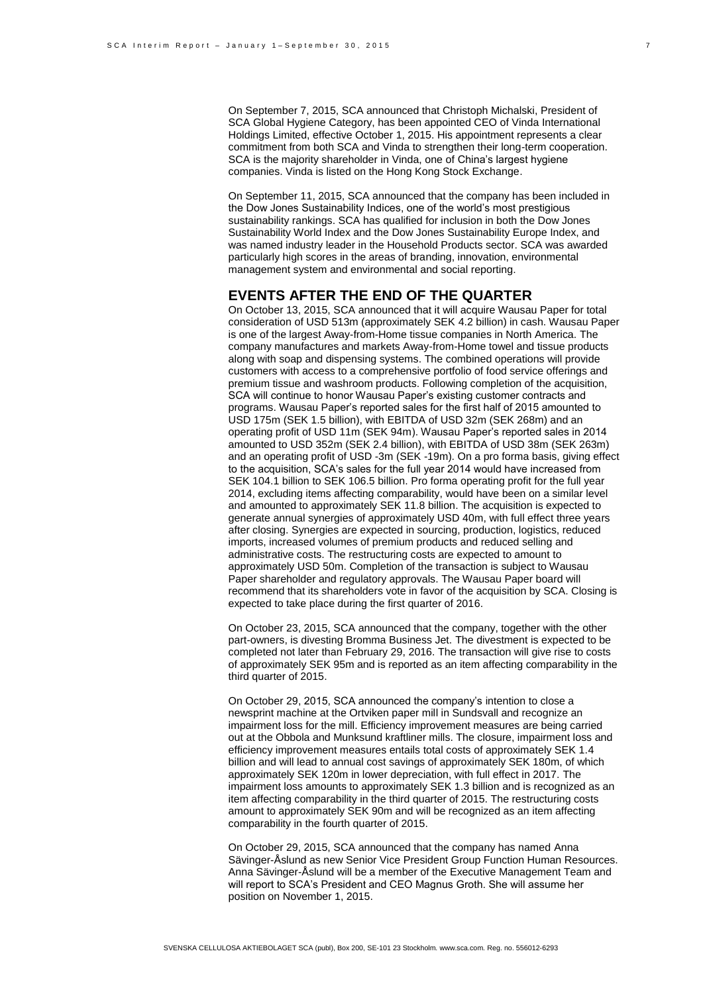On September 7, 2015, SCA announced that Christoph Michalski, President of SCA Global Hygiene Category, has been appointed CEO of Vinda International Holdings Limited, effective October 1, 2015. His appointment represents a clear commitment from both SCA and Vinda to strengthen their long-term cooperation. SCA is the majority shareholder in Vinda, one of China's largest hygiene companies. Vinda is listed on the Hong Kong Stock Exchange.

On September 11, 2015, SCA announced that the company has been included in the Dow Jones Sustainability Indices, one of the world's most prestigious sustainability rankings. SCA has qualified for inclusion in both the Dow Jones Sustainability World Index and the Dow Jones Sustainability Europe Index, and was named industry leader in the Household Products sector. SCA was awarded particularly high scores in the areas of branding, innovation, environmental management system and environmental and social reporting.

### **EVENTS AFTER THE END OF THE QUARTER**

On October 13, 2015, SCA announced that it will acquire Wausau Paper for total consideration of USD 513m (approximately SEK 4.2 billion) in cash. Wausau Paper is one of the largest Away-from-Home tissue companies in North America. The company manufactures and markets Away-from-Home towel and tissue products along with soap and dispensing systems. The combined operations will provide customers with access to a comprehensive portfolio of food service offerings and premium tissue and washroom products. Following completion of the acquisition, SCA will continue to honor Wausau Paper's existing customer contracts and programs. Wausau Paper's reported sales for the first half of 2015 amounted to USD 175m (SEK 1.5 billion), with EBITDA of USD 32m (SEK 268m) and an operating profit of USD 11m (SEK 94m). Wausau Paper's reported sales in 2014 amounted to USD 352m (SEK 2.4 billion), with EBITDA of USD 38m (SEK 263m) and an operating profit of USD -3m (SEK -19m). On a pro forma basis, giving effect to the acquisition, SCA's sales for the full year 2014 would have increased from SEK 104.1 billion to SEK 106.5 billion. Pro forma operating profit for the full year 2014, excluding items affecting comparability, would have been on a similar level and amounted to approximately SEK 11.8 billion. The acquisition is expected to generate annual synergies of approximately USD 40m, with full effect three years after closing. Synergies are expected in sourcing, production, logistics, reduced imports, increased volumes of premium products and reduced selling and administrative costs. The restructuring costs are expected to amount to approximately USD 50m. Completion of the transaction is subject to Wausau Paper shareholder and regulatory approvals. The Wausau Paper board will recommend that its shareholders vote in favor of the acquisition by SCA. Closing is expected to take place during the first quarter of 2016.

On October 23, 2015, SCA announced that the company, together with the other part-owners, is divesting Bromma Business Jet. The divestment is expected to be completed not later than February 29, 2016. The transaction will give rise to costs of approximately SEK 95m and is reported as an item affecting comparability in the third quarter of 2015.

On October 29, 2015, SCA announced the company's intention to close a newsprint machine at the Ortviken paper mill in Sundsvall and recognize an impairment loss for the mill. Efficiency improvement measures are being carried out at the Obbola and Munksund kraftliner mills. The closure, impairment loss and efficiency improvement measures entails total costs of approximately SEK 1.4 billion and will lead to annual cost savings of approximately SEK 180m, of which approximately SEK 120m in lower depreciation, with full effect in 2017. The impairment loss amounts to approximately SEK 1.3 billion and is recognized as an item affecting comparability in the third quarter of 2015. The restructuring costs amount to approximately SEK 90m and will be recognized as an item affecting comparability in the fourth quarter of 2015.

On October 29, 2015, SCA announced that the company has named Anna Sävinger-Åslund as new Senior Vice President Group Function Human Resources. Anna Sävinger-Åslund will be a member of the Executive Management Team and will report to SCA's President and CEO Magnus Groth. She will assume her position on November 1, 2015.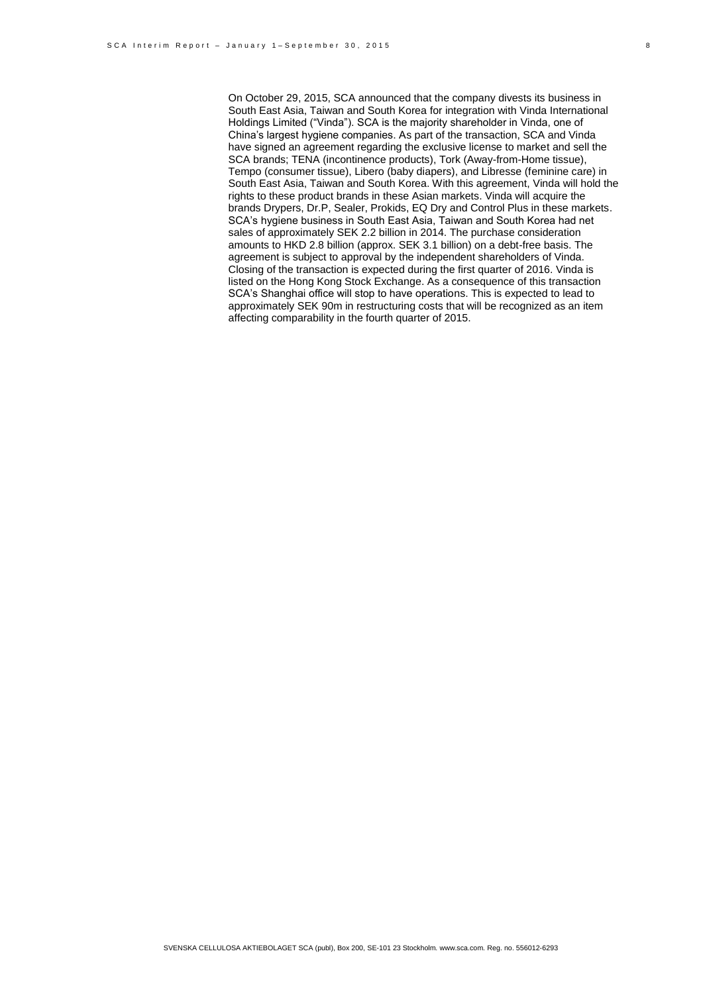On October 29, 2015, SCA announced that the company divests its business in South East Asia, Taiwan and South Korea for integration with Vinda International Holdings Limited ("Vinda"). SCA is the majority shareholder in Vinda, one of China's largest hygiene companies. As part of the transaction, SCA and Vinda have signed an agreement regarding the exclusive license to market and sell the SCA brands; TENA (incontinence products), Tork (Away-from-Home tissue), Tempo (consumer tissue), Libero (baby diapers), and Libresse (feminine care) in South East Asia, Taiwan and South Korea. With this agreement, Vinda will hold the rights to these product brands in these Asian markets. Vinda will acquire the brands Drypers, Dr.P, Sealer, Prokids, EQ Dry and Control Plus in these markets. SCA's hygiene business in South East Asia, Taiwan and South Korea had net sales of approximately SEK 2.2 billion in 2014. The purchase consideration amounts to HKD 2.8 billion (approx. SEK 3.1 billion) on a debt-free basis. The agreement is subject to approval by the independent shareholders of Vinda. Closing of the transaction is expected during the first quarter of 2016. Vinda is listed on the Hong Kong Stock Exchange. As a consequence of this transaction SCA's Shanghai office will stop to have operations. This is expected to lead to approximately SEK 90m in restructuring costs that will be recognized as an item affecting comparability in the fourth quarter of 2015.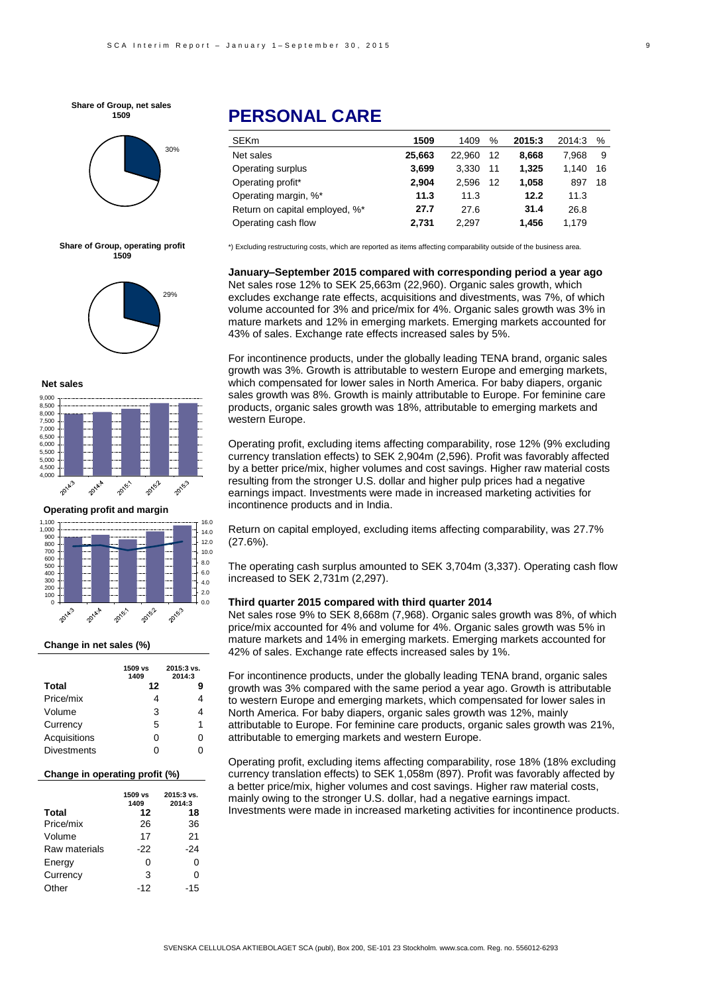**Share of Group, net sales 1509**



#### **Share of Group, operating profit 1509**



#### **Net sales**



**Operating profit and margin**



### **Change in net sales (%)**

|                    | 1509 vs<br>1409 | 2015:3 vs.<br>2014:3 |
|--------------------|-----------------|----------------------|
| Total              | 12              | 9                    |
| Price/mix          | 4               | 4                    |
| Volume             | 3               | 4                    |
| Currency           | 5               | 1                    |
| Acquisitions       | 0               | 0                    |
| <b>Divestments</b> | O               |                      |

#### **Change in operating profit (%)**

|               | 1509 vs<br>1409 | 2015:3 vs.<br>2014:3 |
|---------------|-----------------|----------------------|
| <b>Total</b>  | 12              | 18                   |
| Price/mix     | 26              | 36                   |
| Volume        | 17              | 21                   |
| Raw materials | $-22$           | -24                  |
| Energy        | 0               | 0                    |
| Currency      | 3               | O                    |
| Other         | $-12$           | -15                  |

# **PERSONAL CARE**

| SEKm                           | 1509   | 1409   | %  | 2015:3 | 2014:3 | %  |
|--------------------------------|--------|--------|----|--------|--------|----|
| Net sales                      | 25.663 | 22.960 | 12 | 8.668  | 7.968  | 9  |
| Operating surplus              | 3.699  | 3.330  | 11 | 1.325  | 1.140  | 16 |
| Operating profit*              | 2,904  | 2.596  | 12 | 1.058  | 897    | 18 |
| Operating margin, %*           | 11.3   | 11.3   |    | 12.2   | 11.3   |    |
| Return on capital employed, %* | 27.7   | 27.6   |    | 31.4   | 26.8   |    |
| Operating cash flow            | 2.731  | 2.297  |    | 1.456  | 1.179  |    |

\*) Excluding restructuring costs, which are reported as items affecting comparability outside of the business area.

**January–September 2015 compared with corresponding period a year ago** Net sales rose 12% to SEK 25,663m (22,960). Organic sales growth, which excludes exchange rate effects, acquisitions and divestments, was 7%, of which volume accounted for 3% and price/mix for 4%. Organic sales growth was 3% in mature markets and 12% in emerging markets. Emerging markets accounted for 43% of sales. Exchange rate effects increased sales by 5%.

For incontinence products, under the globally leading TENA brand, organic sales growth was 3%. Growth is attributable to western Europe and emerging markets, which compensated for lower sales in North America. For baby diapers, organic sales growth was 8%. Growth is mainly attributable to Europe. For feminine care products, organic sales growth was 18%, attributable to emerging markets and western Europe.

Operating profit, excluding items affecting comparability, rose 12% (9% excluding currency translation effects) to SEK 2,904m (2,596). Profit was favorably affected by a better price/mix, higher volumes and cost savings. Higher raw material costs resulting from the stronger U.S. dollar and higher pulp prices had a negative earnings impact. Investments were made in increased marketing activities for incontinence products and in India.

Return on capital employed, excluding items affecting comparability, was 27.7%  $(27.6%)$ .

The operating cash surplus amounted to SEK 3,704m (3,337). Operating cash flow increased to SEK 2,731m (2,297).

### **Third quarter 2015 compared with third quarter 2014**

SVENSKA CELLULOSA AKTIEBOLAGET SCA (publ), Box 200, SE-101 23 Stockholm. www.sca.com. Reg. no. 556012-6293

Net sales rose 9% to SEK 8,668m (7,968). Organic sales growth was 8%, of which price/mix accounted for 4% and volume for 4%. Organic sales growth was 5% in mature markets and 14% in emerging markets. Emerging markets accounted for 42% of sales. Exchange rate effects increased sales by 1%.

For incontinence products, under the globally leading TENA brand, organic sales growth was 3% compared with the same period a year ago. Growth is attributable to western Europe and emerging markets, which compensated for lower sales in North America. For baby diapers, organic sales growth was 12%, mainly attributable to Europe. For feminine care products, organic sales growth was 21%, attributable to emerging markets and western Europe.

Operating profit, excluding items affecting comparability, rose 18% (18% excluding currency translation effects) to SEK 1,058m (897). Profit was favorably affected by a better price/mix, higher volumes and cost savings. Higher raw material costs, mainly owing to the stronger U.S. dollar, had a negative earnings impact. Investments were made in increased marketing activities for incontinence products.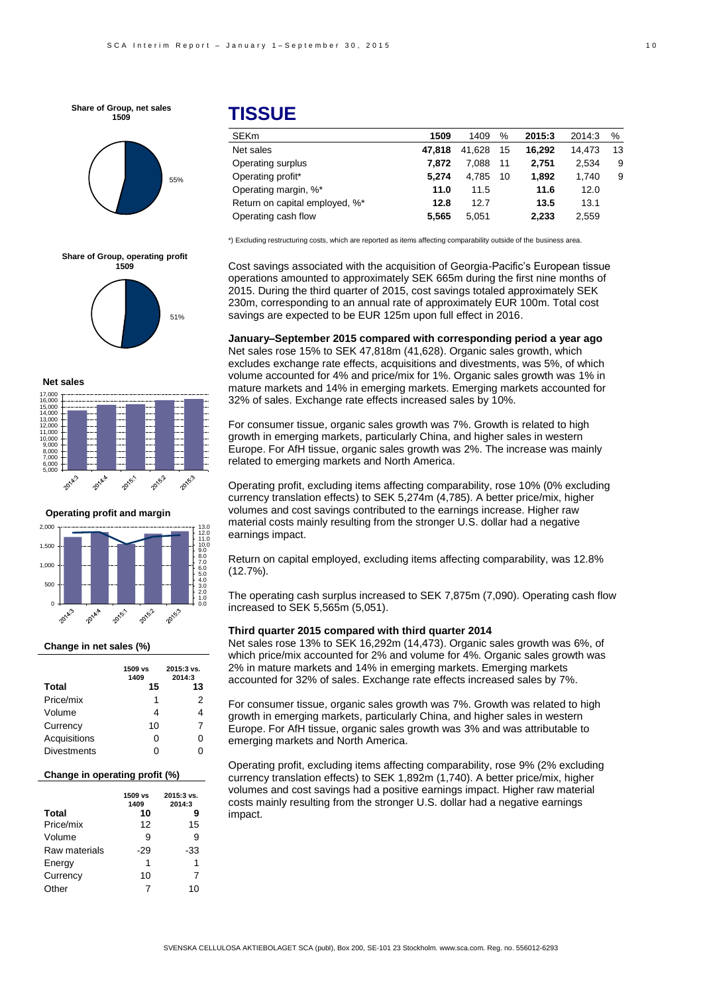**Share of Group, net sales 1509**







**Net sales**



**Operating profit and margin**



#### **Change in net sales (%)**

|                    | 1509 vs<br>1409 | 2015:3 vs.<br>2014:3 |
|--------------------|-----------------|----------------------|
| Total              | 15              | 13                   |
| Price/mix          | 1               | 2                    |
| Volume             | 4               | 4                    |
| Currency           | 10              | 7                    |
| Acquisitions       | O               | O                    |
| <b>Divestments</b> | O               |                      |

### **Change in operating profit (%)**

|               | 1509 vs<br>1409 | 2015:3 vs.<br>2014:3 |
|---------------|-----------------|----------------------|
| <b>Total</b>  | 10              | 9                    |
| Price/mix     | 12              | 15                   |
| Volume        | 9               | 9                    |
| Raw materials | -29             | -33                  |
| Energy        | 1               | 1                    |
| Currency      | 10              | 7                    |
| Other         | 7               | 10                   |

# **TISSUE**

| 1509   | 1409   | %  | 2015:3 | 2014:3 | %  |
|--------|--------|----|--------|--------|----|
| 47.818 | 41.628 | 15 | 16.292 | 14.473 | 13 |
| 7.872  | 7.088  | 11 | 2.751  | 2.534  | 9  |
| 5.274  | 4.785  | 10 | 1.892  | 1.740  | 9  |
| 11.0   | 11.5   |    | 11.6   | 12.0   |    |
| 12.8   | 12.7   |    | 13.5   | 13.1   |    |
| 5.565  | 5.051  |    | 2.233  | 2,559  |    |
|        |        |    |        |        |    |

\*) Excluding restructuring costs, which are reported as items affecting comparability outside of the business area.

Cost savings associated with the acquisition of Georgia-Pacific's European tissue operations amounted to approximately SEK 665m during the first nine months of 2015. During the third quarter of 2015, cost savings totaled approximately SEK 230m, corresponding to an annual rate of approximately EUR 100m. Total cost savings are expected to be EUR 125m upon full effect in 2016.

**January–September 2015 compared with corresponding period a year ago** Net sales rose 15% to SEK 47,818m (41,628). Organic sales growth, which excludes exchange rate effects, acquisitions and divestments, was 5%, of which volume accounted for 4% and price/mix for 1%. Organic sales growth was 1% in mature markets and 14% in emerging markets. Emerging markets accounted for 32% of sales. Exchange rate effects increased sales by 10%.

For consumer tissue, organic sales growth was 7%. Growth is related to high growth in emerging markets, particularly China, and higher sales in western Europe. For AfH tissue, organic sales growth was 2%. The increase was mainly related to emerging markets and North America.

Operating profit, excluding items affecting comparability, rose 10% (0% excluding currency translation effects) to SEK 5,274m (4,785). A better price/mix, higher volumes and cost savings contributed to the earnings increase. Higher raw material costs mainly resulting from the stronger U.S. dollar had a negative earnings impact.

Return on capital employed, excluding items affecting comparability, was 12.8% (12.7%).

The operating cash surplus increased to SEK 7,875m (7,090). Operating cash flow increased to SEK 5,565m (5,051).

### **Third quarter 2015 compared with third quarter 2014**

Net sales rose 13% to SEK 16,292m (14,473). Organic sales growth was 6%, of which price/mix accounted for 2% and volume for 4%. Organic sales growth was 2% in mature markets and 14% in emerging markets. Emerging markets accounted for 32% of sales. Exchange rate effects increased sales by 7%.

For consumer tissue, organic sales growth was 7%. Growth was related to high growth in emerging markets, particularly China, and higher sales in western Europe. For AfH tissue, organic sales growth was 3% and was attributable to emerging markets and North America.

Operating profit, excluding items affecting comparability, rose 9% (2% excluding currency translation effects) to SEK 1,892m (1,740). A better price/mix, higher volumes and cost savings had a positive earnings impact. Higher raw material costs mainly resulting from the stronger U.S. dollar had a negative earnings impact.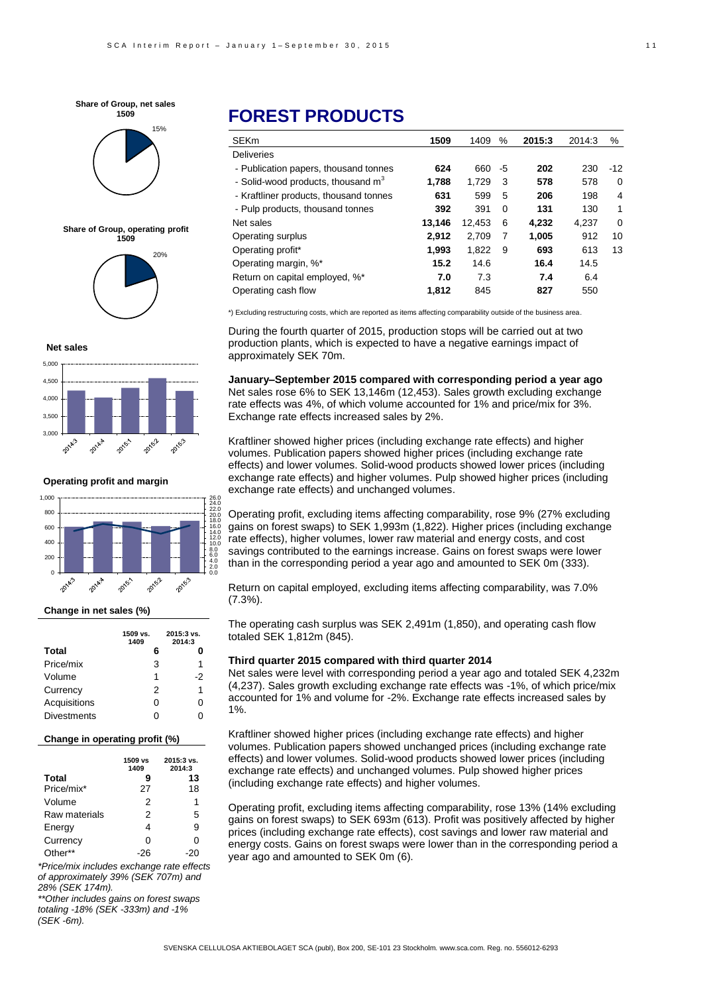





#### **Net sales**



**Operating profit and margin**



### **Change in net sales (%)**

|                    | 1509 vs.<br>1409 | 2015:3 vs.<br>2014:3 |
|--------------------|------------------|----------------------|
| <b>Total</b>       | 6                |                      |
| Price/mix          | 3                | 1                    |
| Volume             | 1                | -2                   |
| Currency           | 2                | 1                    |
| Acquisitions       | 0                | ი                    |
| <b>Divestments</b> |                  |                      |

#### **Change in operating profit (%)**

|               | 1509 vs<br>1409 | 2015:3 vs.<br>2014:3 |
|---------------|-----------------|----------------------|
| <b>Total</b>  | 9               | 13                   |
| Price/mix*    | 27              | 18                   |
| Volume        | 2               | 1                    |
| Raw materials | 2               | 5                    |
| Energy        | 4               | 9                    |
| Currency      | ŋ               | U                    |
| Other**       |                 |                      |

*\*Price/mix includes exchange rate effects of approximately 39% (SEK 707m) and 28% (SEK 174m).*

*\*\*Other includes gains on forest swaps totaling -18% (SEK -333m) and -1% (SEK -6m).*

# **FOREST PRODUCTS**

| <b>SEKm</b>                            | 1509   | 1409   | %        | 2015:3 | 2014:3 | %     |
|----------------------------------------|--------|--------|----------|--------|--------|-------|
| <b>Deliveries</b>                      |        |        |          |        |        |       |
| - Publication papers, thousand tonnes  | 624    | 660    | -5       | 202    | 230    | $-12$ |
| - Solid-wood products, thousand $m3$   | 1.788  | 1.729  | 3        | 578    | 578    | 0     |
| - Kraftliner products, thousand tonnes | 631    | 599    | 5        | 206    | 198    | 4     |
| - Pulp products, thousand tonnes       | 392    | 391    | $\Omega$ | 131    | 130    | 1     |
| Net sales                              | 13,146 | 12.453 | 6        | 4.232  | 4.237  | 0     |
| Operating surplus                      | 2,912  | 2,709  | 7        | 1,005  | 912    | 10    |
| Operating profit*                      | 1.993  | 1.822  | 9        | 693    | 613    | 13    |
| Operating margin, %*                   | 15.2   | 14.6   |          | 16.4   | 14.5   |       |
| Return on capital employed, %*         | 7.0    | 7.3    |          | 7.4    | 6.4    |       |
| Operating cash flow                    | 1.812  | 845    |          | 827    | 550    |       |

\*) Excluding restructuring costs, which are reported as items affecting comparability outside of the business area.

During the fourth quarter of 2015, production stops will be carried out at two production plants, which is expected to have a negative earnings impact of approximately SEK 70m.

**January–September 2015 compared with corresponding period a year ago** Net sales rose 6% to SEK 13,146m (12,453). Sales growth excluding exchange rate effects was 4%, of which volume accounted for 1% and price/mix for 3%. Exchange rate effects increased sales by 2%.

Kraftliner showed higher prices (including exchange rate effects) and higher volumes. Publication papers showed higher prices (including exchange rate effects) and lower volumes. Solid-wood products showed lower prices (including exchange rate effects) and higher volumes. Pulp showed higher prices (including exchange rate effects) and unchanged volumes.

Operating profit, excluding items affecting comparability, rose 9% (27% excluding gains on forest swaps) to SEK 1,993m (1,822). Higher prices (including exchange rate effects), higher volumes, lower raw material and energy costs, and cost savings contributed to the earnings increase. Gains on forest swaps were lower than in the corresponding period a year ago and amounted to SEK 0m (333).

Return on capital employed, excluding items affecting comparability, was 7.0%  $(7.3\%)$ .

The operating cash surplus was SEK 2,491m (1,850), and operating cash flow totaled SEK 1,812m (845).

### **Third quarter 2015 compared with third quarter 2014**

Net sales were level with corresponding period a year ago and totaled SEK 4,232m (4,237). Sales growth excluding exchange rate effects was -1%, of which price/mix accounted for 1% and volume for -2%. Exchange rate effects increased sales by 1%.

-6 Kraftliner showed higher prices (including exchange rate effects) and higher volumes. Publication papers showed unchanged prices (including exchange rate effects) and lower volumes. Solid-wood products showed lower prices (including exchange rate effects) and unchanged volumes. Pulp showed higher prices (including exchange rate effects) and higher volumes.

Operating profit, excluding items affecting comparability, rose 13% (14% excluding gains on forest swaps) to SEK 693m (613). Profit was positively affected by higher prices (including exchange rate effects), cost savings and lower raw material and energy costs. Gains on forest swaps were lower than in the corresponding period a year ago and amounted to SEK 0m (6).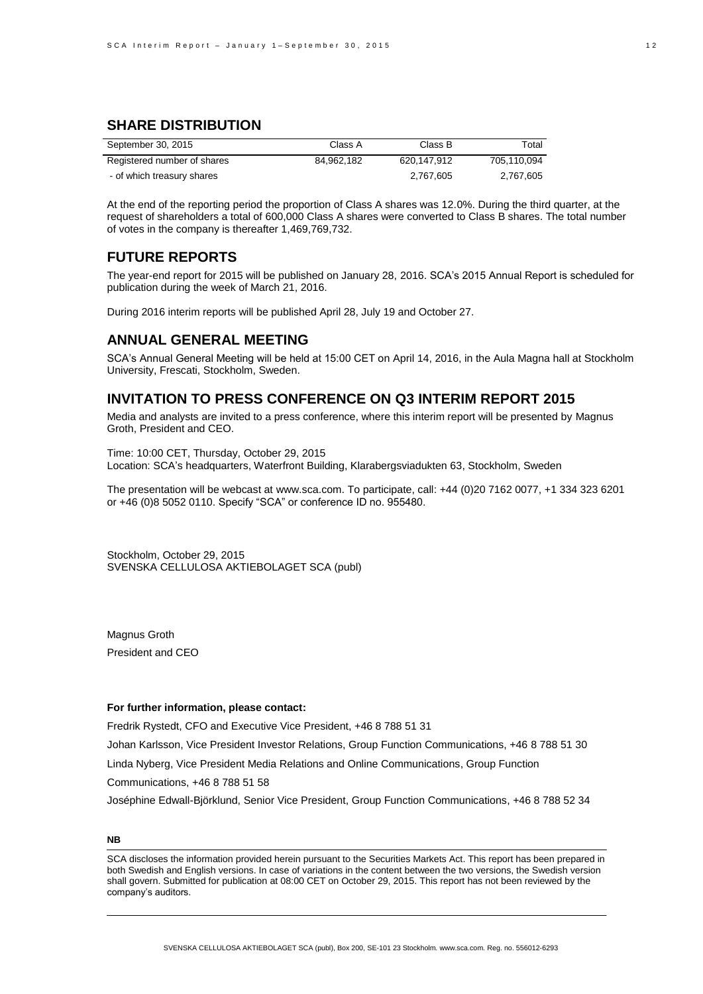## **SHARE DISTRIBUTION**

| September 30, 2015          | Class A    | Class B     | Total       |
|-----------------------------|------------|-------------|-------------|
| Registered number of shares | 84.962.182 | 620.147.912 | 705.110.094 |
| - of which treasury shares  |            | 2,767,605   | 2.767.605   |

At the end of the reporting period the proportion of Class A shares was 12.0%. During the third quarter, at the request of shareholders a total of 600,000 Class A shares were converted to Class B shares. The total number of votes in the company is thereafter 1,469,769,732.

## **FUTURE REPORTS**

The year-end report for 2015 will be published on January 28, 2016. SCA's 2015 Annual Report is scheduled for publication during the week of March 21, 2016.

During 2016 interim reports will be published April 28, July 19 and October 27.

### **ANNUAL GENERAL MEETING**

SCA's Annual General Meeting will be held at 15:00 CET on April 14, 2016, in the Aula Magna hall at Stockholm University, Frescati, Stockholm, Sweden.

## **INVITATION TO PRESS CONFERENCE ON Q3 INTERIM REPORT 2015**

Media and analysts are invited to a press conference, where this interim report will be presented by Magnus Groth, President and CEO.

Time: 10:00 CET, Thursday, October 29, 2015 Location: SCA's headquarters, Waterfront Building, Klarabergsviadukten 63, Stockholm, Sweden

The presentation will be webcast at www.sca.com. To participate, call: +44 (0)20 7162 0077, +1 334 323 6201 or +46 (0)8 5052 0110. Specify "SCA" or conference ID no. 955480.

Stockholm, October 29, 2015 SVENSKA CELLULOSA AKTIEBOLAGET SCA (publ)

Magnus Groth President and CEO

### **For further information, please contact:**

Fredrik Rystedt, CFO and Executive Vice President, +46 8 788 51 31

Johan Karlsson, Vice President Investor Relations, Group Function Communications, +46 8 788 51 30

Linda Nyberg, Vice President Media Relations and Online Communications, Group Function

Communications, +46 8 788 51 58

Joséphine Edwall-Björklund, Senior Vice President, Group Function Communications, +46 8 788 52 34

### **NB**

SCA discloses the information provided herein pursuant to the Securities Markets Act. This report has been prepared in both Swedish and English versions. In case of variations in the content between the two versions, the Swedish version shall govern. Submitted for publication at 08:00 CET on October 29, 2015. This report has not been reviewed by the company's auditors.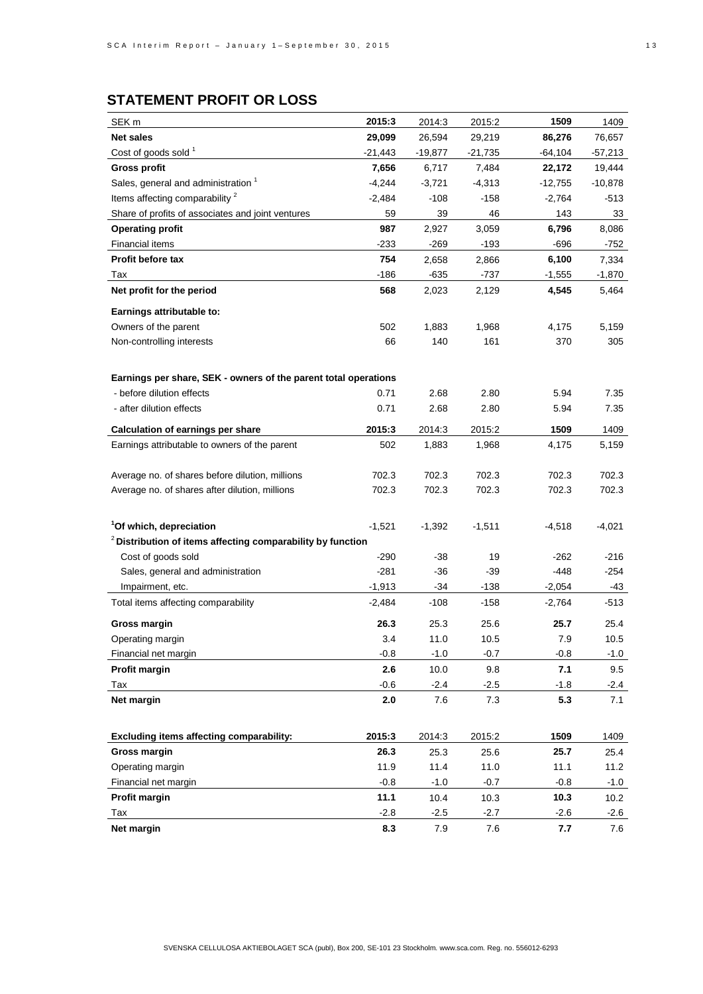# **STATEMENT PROFIT OR LOSS**

| SEK <sub>m</sub>                                                       | 2015:3   | 2014:3    | 2015:2    | 1509      | 1409      |
|------------------------------------------------------------------------|----------|-----------|-----------|-----------|-----------|
| <b>Net sales</b>                                                       | 29,099   | 26,594    | 29,219    | 86,276    | 76,657    |
| Cost of goods sold <sup>1</sup>                                        | -21,443  | $-19,877$ | $-21,735$ | -64,104   | -57,213   |
| <b>Gross profit</b>                                                    | 7,656    | 6,717     | 7,484     | 22,172    | 19,444    |
| Sales, general and administration <sup>1</sup>                         | $-4,244$ | $-3,721$  | $-4,313$  | $-12,755$ | $-10,878$ |
| Items affecting comparability <sup>2</sup>                             | $-2,484$ | $-108$    | $-158$    | $-2,764$  | $-513$    |
| Share of profits of associates and joint ventures                      | 59       | 39        | 46        | 143       | 33        |
| <b>Operating profit</b>                                                | 987      | 2,927     | 3,059     | 6,796     | 8,086     |
| Financial items                                                        | -233     | $-269$    | $-193$    | $-696$    | -752      |
| <b>Profit before tax</b>                                               | 754      | 2,658     | 2,866     | 6,100     | 7,334     |
| Tax                                                                    | $-186$   | -635      | -737      | $-1,555$  | $-1,870$  |
| Net profit for the period                                              | 568      | 2,023     | 2,129     | 4,545     | 5,464     |
| Earnings attributable to:                                              |          |           |           |           |           |
| Owners of the parent                                                   | 502      | 1,883     | 1,968     | 4,175     | 5,159     |
| Non-controlling interests                                              | 66       | 140       | 161       | 370       | 305       |
|                                                                        |          |           |           |           |           |
| Earnings per share, SEK - owners of the parent total operations        |          |           |           |           |           |
| - before dilution effects                                              | 0.71     | 2.68      | 2.80      | 5.94      | 7.35      |
| - after dilution effects                                               | 0.71     | 2.68      | 2.80      | 5.94      | 7.35      |
| <b>Calculation of earnings per share</b>                               | 2015:3   | 2014:3    | 2015:2    | 1509      | 1409      |
| Earnings attributable to owners of the parent                          | 502      | 1,883     | 1,968     | 4,175     | 5,159     |
|                                                                        |          |           |           |           |           |
| Average no. of shares before dilution, millions                        | 702.3    | 702.3     | 702.3     | 702.3     | 702.3     |
| Average no. of shares after dilution, millions                         | 702.3    | 702.3     | 702.3     | 702.3     | 702.3     |
|                                                                        |          |           |           |           |           |
| <sup>1</sup> Of which, depreciation                                    | $-1,521$ | $-1,392$  | $-1,511$  | -4,518    | -4,021    |
| <sup>2</sup> Distribution of items affecting comparability by function |          |           |           |           |           |
| Cost of goods sold                                                     | $-290$   | -38       | 19        | -262      | $-216$    |
| Sales, general and administration                                      | $-281$   | -36       | -39       | -448      | $-254$    |
| Impairment, etc.                                                       | $-1,913$ | -34       | $-138$    | $-2,054$  | -43       |
| Total items affecting comparability                                    | $-2,484$ | $-108$    | -158      | $-2,764$  | -513      |
| <b>Gross margin</b>                                                    | 26.3     | 25.3      | 25.6      | 25.7      | 25.4      |
| Operating margin                                                       | 3.4      | 11.0      | 10.5      | 7.9       | $10.5$    |
| Financial net margin                                                   | -0.8     | $-1.0$    | $-0.7$    | -0.8      | -1.0      |
| Profit margin                                                          | 2.6      | 10.0      | 9.8       | 7.1       | 9.5       |
| Tax                                                                    | $-0.6$   | $-2.4$    | $-2.5$    | $-1.8$    | $-2.4$    |
| Net margin                                                             | 2.0      | 7.6       | 7.3       | 5.3       | 7.1       |
|                                                                        |          |           |           |           |           |
| Excluding items affecting comparability:                               | 2015:3   | 2014:3    | 2015:2    | 1509      | 1409      |
| Gross margin                                                           | 26.3     | 25.3      | 25.6      | 25.7      | 25.4      |
| Operating margin                                                       | 11.9     | 11.4      | 11.0      | 11.1      | 11.2      |
| Financial net margin                                                   | $-0.8$   | $-1.0$    | $-0.7$    | $-0.8$    | $-1.0$    |
| Profit margin                                                          | 11.1     | 10.4      | 10.3      | 10.3      | 10.2      |
| Tax                                                                    | $-2.8$   | $-2.5$    | $-2.7$    | $-2.6$    | $-2.6$    |
| Net margin                                                             | 8.3      | 7.9       | 7.6       | 7.7       | 7.6       |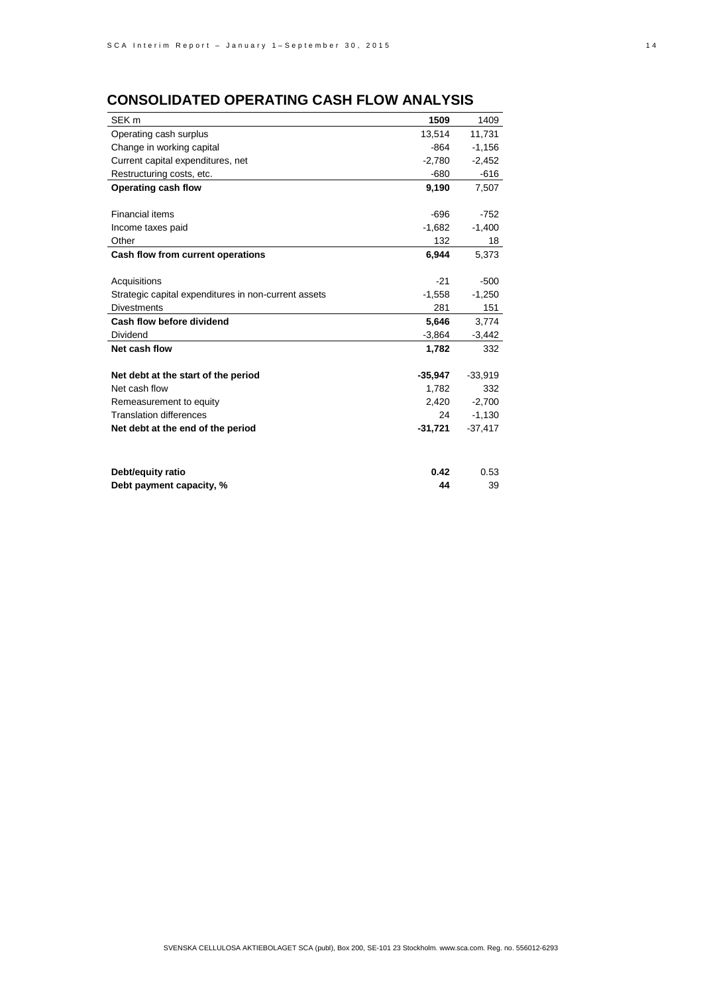# **CONSOLIDATED OPERATING CASH FLOW ANALYSIS**

| SEK <sub>m</sub>                                     | 1509      | 1409      |
|------------------------------------------------------|-----------|-----------|
| Operating cash surplus                               | 13.514    | 11.731    |
| Change in working capital                            | $-864$    | $-1,156$  |
| Current capital expenditures, net                    | $-2,780$  | $-2,452$  |
| Restructuring costs, etc.                            | -680      | $-616$    |
| Operating cash flow                                  | 9,190     | 7,507     |
|                                                      |           |           |
| Financial items                                      | $-696$    | $-752$    |
| Income taxes paid                                    | $-1,682$  | $-1,400$  |
| Other                                                | 132       | 18        |
| Cash flow from current operations                    | 6,944     | 5,373     |
|                                                      |           |           |
| Acquisitions                                         | $-21$     | $-500$    |
| Strategic capital expenditures in non-current assets | $-1,558$  | $-1,250$  |
| <b>Divestments</b>                                   | 281       | 151       |
| Cash flow before dividend                            | 5,646     | 3,774     |
| Dividend                                             | $-3,864$  | $-3,442$  |
| Net cash flow                                        | 1,782     | 332       |
|                                                      |           |           |
| Net debt at the start of the period                  | $-35,947$ | $-33,919$ |
| Net cash flow                                        | 1,782     | 332       |
| Remeasurement to equity                              | 2,420     | $-2,700$  |
| <b>Translation differences</b>                       | 24        | $-1,130$  |
| Net debt at the end of the period                    | $-31,721$ | $-37,417$ |
|                                                      |           |           |
|                                                      |           |           |
| Debt/equity ratio                                    | 0.42      | 0.53      |
| Debt payment capacity, %                             | 44        | 39        |
|                                                      |           |           |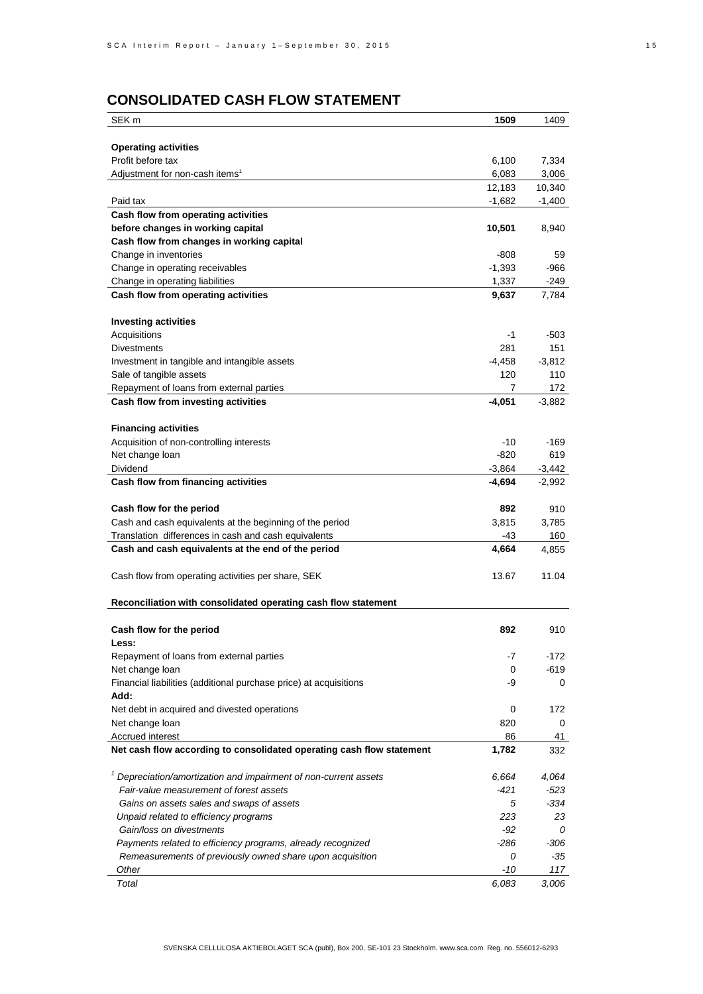# **CONSOLIDATED CASH FLOW STATEMENT**

| SEK <sub>m</sub>                                                      | 1509     | 1409     |
|-----------------------------------------------------------------------|----------|----------|
|                                                                       |          |          |
| <b>Operating activities</b>                                           |          |          |
| Profit before tax                                                     | 6,100    | 7,334    |
| Adjustment for non-cash items <sup>1</sup>                            | 6,083    | 3,006    |
|                                                                       | 12,183   | 10,340   |
| Paid tax                                                              | $-1,682$ | $-1,400$ |
| Cash flow from operating activities                                   |          |          |
| before changes in working capital                                     | 10,501   | 8,940    |
| Cash flow from changes in working capital                             |          |          |
| Change in inventories                                                 | -808     | 59       |
| Change in operating receivables                                       | $-1,393$ | -966     |
| Change in operating liabilities                                       | 1,337    | -249     |
| Cash flow from operating activities                                   | 9,637    | 7,784    |
|                                                                       |          |          |
| <b>Investing activities</b>                                           |          |          |
| Acquisitions                                                          | -1       | $-503$   |
| <b>Divestments</b>                                                    | 281      | 151      |
| Investment in tangible and intangible assets                          | $-4,458$ | $-3,812$ |
| Sale of tangible assets                                               | 120      | 110      |
| Repayment of loans from external parties                              | 7        | 172      |
| Cash flow from investing activities                                   | $-4,051$ | $-3,882$ |
|                                                                       |          |          |
| <b>Financing activities</b>                                           |          |          |
| Acquisition of non-controlling interests                              | -10      | $-169$   |
| Net change loan                                                       | $-820$   | 619      |
| Dividend                                                              | $-3,864$ | $-3,442$ |
| Cash flow from financing activities                                   | -4,694   | $-2,992$ |
|                                                                       |          |          |
| Cash flow for the period                                              | 892      | 910      |
| Cash and cash equivalents at the beginning of the period              | 3,815    | 3,785    |
| Translation differences in cash and cash equivalents                  | -43      | 160      |
| Cash and cash equivalents at the end of the period                    | 4,664    | 4,855    |
|                                                                       |          |          |
| Cash flow from operating activities per share, SEK                    | 13.67    | 11.04    |
|                                                                       |          |          |
| Reconciliation with consolidated operating cash flow statement        |          |          |
|                                                                       |          |          |
| Cash flow for the period                                              | 892      | 910      |
| <b>Less:</b><br>Repayment of loans from external parties              | -7       | -172     |
| Net change loan                                                       | 0        | -619     |
| Financial liabilities (additional purchase price) at acquisitions     | -9       | 0        |
| Add:                                                                  |          |          |
| Net debt in acquired and divested operations                          | 0        | 172      |
| Net change loan                                                       | 820      | 0        |
| Accrued interest                                                      | 86       | 41       |
| Net cash flow according to consolidated operating cash flow statement | 1,782    | 332      |
|                                                                       |          |          |
| $1$ Depreciation/amortization and impairment of non-current assets    | 6,664    | 4,064    |
| Fair-value measurement of forest assets                               | -421     | $-523$   |
| Gains on assets sales and swaps of assets                             | 5        | $-334$   |
| Unpaid related to efficiency programs                                 | 223      | 23       |
| Gain/loss on divestments                                              | -92      | 0        |
| Payments related to efficiency programs, already recognized           | -286     | -306     |
| Remeasurements of previously owned share upon acquisition             | 0        | -35      |
| Other                                                                 | $-10$    | 117      |
| Total                                                                 | 6,083    | 3,006    |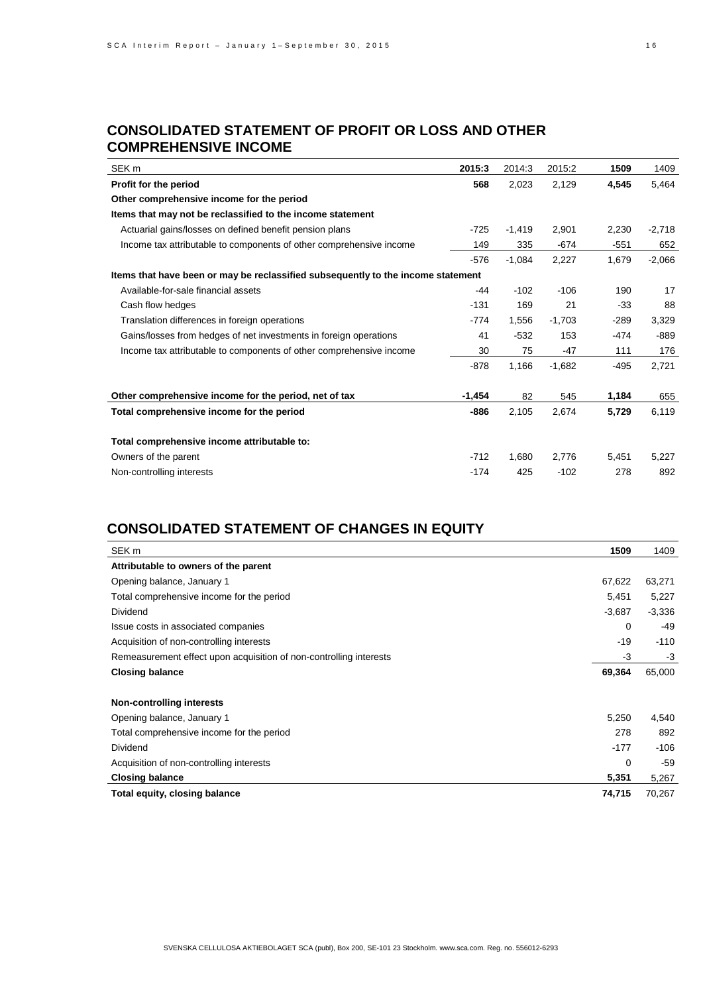## **CONSOLIDATED STATEMENT OF PROFIT OR LOSS AND OTHER COMPREHENSIVE INCOME**

| SEK <sub>m</sub>                                                                 | 2015:3   | 2014:3   | 2015:2   | 1509   | 1409     |
|----------------------------------------------------------------------------------|----------|----------|----------|--------|----------|
| Profit for the period                                                            | 568      | 2,023    | 2,129    | 4,545  | 5,464    |
| Other comprehensive income for the period                                        |          |          |          |        |          |
| Items that may not be reclassified to the income statement                       |          |          |          |        |          |
| Actuarial gains/losses on defined benefit pension plans                          | $-725$   | $-1,419$ | 2,901    | 2,230  | $-2,718$ |
| Income tax attributable to components of other comprehensive income              | 149      | 335      | $-674$   | $-551$ | 652      |
|                                                                                  | $-576$   | $-1.084$ | 2,227    | 1,679  | $-2,066$ |
| Items that have been or may be reclassified subsequently to the income statement |          |          |          |        |          |
| Available-for-sale financial assets                                              | $-44$    | $-102$   | $-106$   | 190    | 17       |
| Cash flow hedges                                                                 | $-131$   | 169      | 21       | $-33$  | 88       |
| Translation differences in foreign operations                                    | $-774$   | 1,556    | $-1,703$ | $-289$ | 3,329    |
| Gains/losses from hedges of net investments in foreign operations                | 41       | $-532$   | 153      | -474   | $-889$   |
| Income tax attributable to components of other comprehensive income              | 30       | 75       | -47      | 111    | 176      |
|                                                                                  | $-878$   | 1,166    | $-1,682$ | -495   | 2,721    |
| Other comprehensive income for the period, net of tax                            | $-1,454$ | 82       | 545      | 1,184  | 655      |
| Total comprehensive income for the period                                        | $-886$   | 2,105    | 2,674    | 5,729  | 6,119    |
| Total comprehensive income attributable to:                                      |          |          |          |        |          |
| Owners of the parent                                                             | $-712$   | 1,680    | 2,776    | 5,451  | 5,227    |
| Non-controlling interests                                                        | $-174$   | 425      | $-102$   | 278    | 892      |

# **CONSOLIDATED STATEMENT OF CHANGES IN EQUITY**

| SEK <sub>m</sub>                                                   | 1509     | 1409     |
|--------------------------------------------------------------------|----------|----------|
| Attributable to owners of the parent                               |          |          |
| Opening balance, January 1                                         | 67,622   | 63,271   |
| Total comprehensive income for the period                          | 5,451    | 5,227    |
| Dividend                                                           | $-3,687$ | $-3,336$ |
| Issue costs in associated companies                                | 0        | $-49$    |
| Acquisition of non-controlling interests                           | -19      | $-110$   |
| Remeasurement effect upon acquisition of non-controlling interests | -3       | $-3$     |
| <b>Closing balance</b>                                             | 69,364   | 65,000   |
| Non-controlling interests                                          |          |          |
| Opening balance, January 1                                         | 5,250    | 4,540    |
| Total comprehensive income for the period                          | 278      | 892      |
| Dividend                                                           | $-177$   | $-106$   |
| Acquisition of non-controlling interests                           | 0        | $-59$    |
| <b>Closing balance</b>                                             | 5,351    | 5,267    |
| Total equity, closing balance                                      | 74,715   | 70,267   |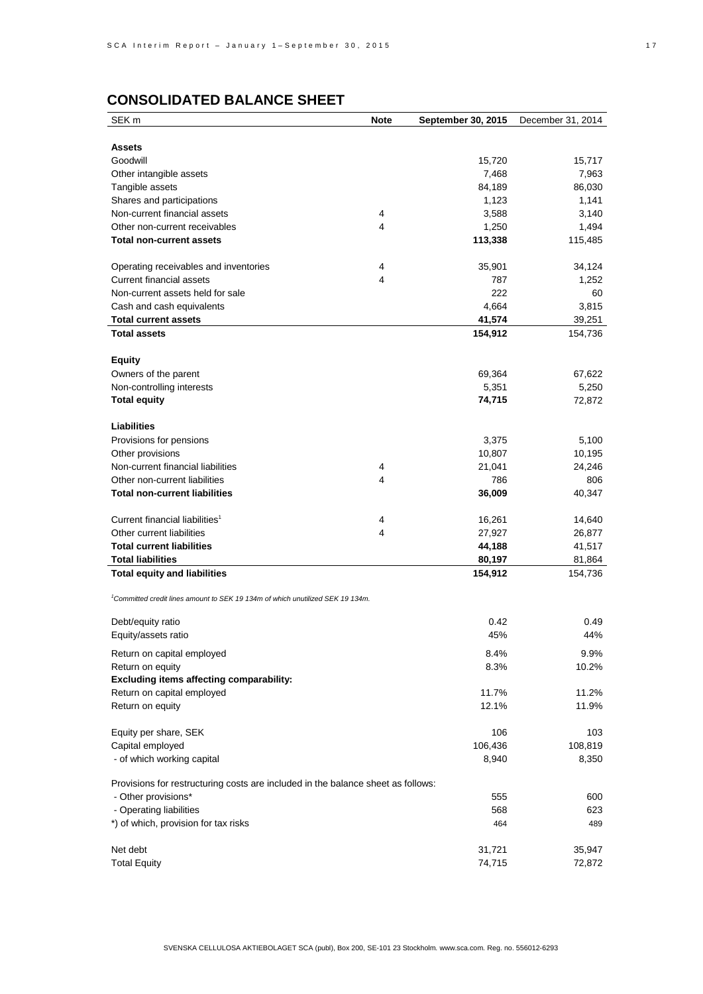| SEK <sub>m</sub>                                                                           | <b>Note</b> | September 30, 2015 | December 31, 2014 |
|--------------------------------------------------------------------------------------------|-------------|--------------------|-------------------|
|                                                                                            |             |                    |                   |
| <b>Assets</b>                                                                              |             |                    |                   |
| Goodwill                                                                                   |             | 15,720             | 15,717            |
| Other intangible assets                                                                    |             | 7,468              | 7,963             |
| Tangible assets                                                                            |             | 84,189             | 86,030            |
| Shares and participations                                                                  |             | 1,123              | 1,141             |
| Non-current financial assets                                                               | 4           | 3,588              | 3,140             |
| Other non-current receivables                                                              | 4           | 1,250              | 1,494             |
| <b>Total non-current assets</b>                                                            |             | 113,338            | 115,485           |
|                                                                                            |             |                    |                   |
| Operating receivables and inventories                                                      | 4           | 35,901             | 34,124            |
| Current financial assets                                                                   | 4           | 787                | 1,252             |
| Non-current assets held for sale                                                           |             | 222                | 60                |
| Cash and cash equivalents                                                                  |             | 4,664              | 3,815             |
| <b>Total current assets</b>                                                                |             | 41,574             | 39,251            |
| <b>Total assets</b>                                                                        |             | 154,912            | 154,736           |
|                                                                                            |             |                    |                   |
| <b>Equity</b>                                                                              |             |                    |                   |
| Owners of the parent                                                                       |             | 69,364             | 67,622            |
| Non-controlling interests                                                                  |             | 5,351              | 5,250             |
| <b>Total equity</b>                                                                        |             | 74,715             | 72,872            |
| <b>Liabilities</b>                                                                         |             |                    |                   |
| Provisions for pensions                                                                    |             | 3,375              | 5,100             |
| Other provisions                                                                           |             | 10,807             | 10,195            |
| Non-current financial liabilities                                                          | 4           | 21,041             | 24,246            |
| Other non-current liabilities                                                              | 4           | 786                | 806               |
| <b>Total non-current liabilities</b>                                                       |             | 36,009             |                   |
|                                                                                            |             |                    | 40,347            |
| Current financial liabilities <sup>1</sup>                                                 | 4           | 16,261             | 14,640            |
| Other current liabilities                                                                  | 4           | 27,927             | 26,877            |
| <b>Total current liabilities</b>                                                           |             | 44,188             | 41,517            |
| <b>Total liabilities</b>                                                                   |             | 80,197             | 81,864            |
| <b>Total equity and liabilities</b>                                                        |             | 154,912            | 154,736           |
|                                                                                            |             |                    |                   |
| <sup>1</sup> Committed credit lines amount to SEK 19 134m of which unutilized SEK 19 134m. |             |                    |                   |
| Debt/equity ratio                                                                          |             | 0.42               | 0.49              |
| Equity/assets ratio                                                                        |             | 45%                | 44%               |
|                                                                                            |             |                    |                   |
| Return on capital employed                                                                 |             | 8.4%               | 9.9%              |
| Return on equity                                                                           |             | 8.3%               | 10.2%             |
| <b>Excluding items affecting comparability:</b>                                            |             |                    |                   |
| Return on capital employed                                                                 |             | 11.7%              | 11.2%             |
| Return on equity                                                                           |             | 12.1%              | 11.9%             |
|                                                                                            |             |                    |                   |
| Equity per share, SEK                                                                      |             | 106                | 103               |
| Capital employed                                                                           |             | 106,436            | 108,819           |
| - of which working capital                                                                 |             | 8,940              | 8,350             |
| Provisions for restructuring costs are included in the balance sheet as follows:           |             |                    |                   |
| - Other provisions*                                                                        |             | 555                | 600               |
| - Operating liabilities                                                                    |             | 568                | 623               |
| *) of which, provision for tax risks                                                       |             | 464                | 489               |
|                                                                                            |             |                    |                   |
| Net debt                                                                                   |             | 31,721             | 35,947            |
| <b>Total Equity</b>                                                                        |             | 74,715             | 72,872            |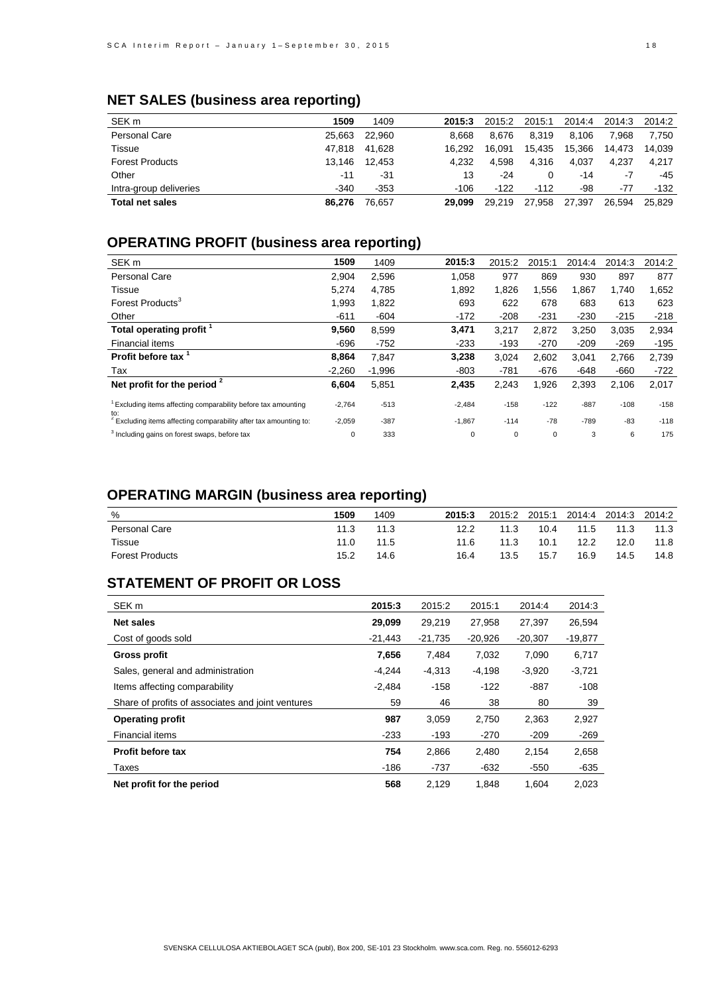# **NET SALES (business area reporting)**

| SEK <sub>m</sub>       | 1509   | 1409   | 2015:3 | 2015:2 | 2015:1 | 2014:4 | 2014:3 | 2014:2 |
|------------------------|--------|--------|--------|--------|--------|--------|--------|--------|
| <b>Personal Care</b>   | 25.663 | 22.960 | 8.668  | 8.676  | 8.319  | 8.106  | 7.968  | 7.750  |
| Tissue                 | 47.818 | 41.628 | 16.292 | 16.091 | 15.435 | 15.366 | 14.473 | 14.039 |
| <b>Forest Products</b> | 13.146 | 12.453 | 4.232  | 4.598  | 4.316  | 4.037  | 4.237  | 4.217  |
| Other                  | -11    | -31    | 13     | -24    | 0      | -14    | -7     | -45    |
| Intra-group deliveries | $-340$ | $-353$ | $-106$ | $-122$ | $-112$ | -98    | $-77$  | $-132$ |
| <b>Total net sales</b> | 86.276 | 76.657 | 29.099 | 29.219 | 27.958 | 27.397 | 26.594 | 25.829 |

# **OPERATING PROFIT (business area reporting)**

| SEK <sub>m</sub>                                                             | 1509     | 1409     | 2015:3   | 2015:2 | 2015:1 | 2014:4 | 2014:3 | 2014:2 |
|------------------------------------------------------------------------------|----------|----------|----------|--------|--------|--------|--------|--------|
| Personal Care                                                                | 2,904    | 2,596    | 1,058    | 977    | 869    | 930    | 897    | 877    |
| Tissue                                                                       | 5,274    | 4,785    | 1,892    | 1,826  | 1,556  | 1,867  | 1,740  | 1,652  |
| Forest Products <sup>3</sup>                                                 | 1,993    | 1,822    | 693      | 622    | 678    | 683    | 613    | 623    |
| Other                                                                        | $-611$   | $-604$   | $-172$   | $-208$ | $-231$ | $-230$ | $-215$ | $-218$ |
| Total operating profit                                                       | 9,560    | 8,599    | 3,471    | 3,217  | 2,872  | 3,250  | 3,035  | 2,934  |
| Financial items                                                              | $-696$   | $-752$   | $-233$   | $-193$ | $-270$ | $-209$ | $-269$ | $-195$ |
| Profit before tax                                                            | 8.864    | 7.847    | 3,238    | 3,024  | 2,602  | 3,041  | 2,766  | 2,739  |
| Tax                                                                          | $-2,260$ | $-1,996$ | $-803$   | $-781$ | $-676$ | $-648$ | $-660$ | $-722$ |
| Net profit for the period $2$                                                | 6,604    | 5,851    | 2,435    | 2,243  | 1,926  | 2,393  | 2,106  | 2,017  |
| Excluding items affecting comparability before tax amounting<br>to:          | $-2,764$ | $-513$   | $-2,484$ | $-158$ | $-122$ | $-887$ | $-108$ | $-158$ |
| <sup>2</sup> Excluding items affecting comparability after tax amounting to: | $-2,059$ | $-387$   | $-1,867$ | $-114$ | $-78$  | $-789$ | $-83$  | $-118$ |
| <sup>3</sup> Including gains on forest swaps, before tax                     | 0        | 333      | 0        | 0      | 0      | 3      | 6      | 175    |

## **OPERATING MARGIN (business area reporting)**

| %                      | 1509 | 1409 | 2015:3 | 2015:2 | 2015:1 | 2014:4 | 2014:3 | 2014:2 |
|------------------------|------|------|--------|--------|--------|--------|--------|--------|
| Personal Care          | 11.3 | 11.3 | 12.2   | 11.3   | 10.4   | 11.5   | 11.3   | 11.3   |
| Tissue                 | 11.0 | 11.5 | 11.6   | 11.3   | 10.1   | 12.2   | 12.0   | 11.8   |
| <b>Forest Products</b> | 15.2 | 14.6 | 16.4   | 13.5   | 15.7   | 16.9   | 14.5   | 14.8   |

## **STATEMENT OF PROFIT OR LOSS**

| SEK <sub>m</sub>                                  | 2015:3    | 2015:2    | 2015:1    | 2014:4    | 2014:3    |
|---------------------------------------------------|-----------|-----------|-----------|-----------|-----------|
| <b>Net sales</b>                                  | 29,099    | 29.219    | 27.958    | 27.397    | 26.594    |
| Cost of goods sold                                | $-21.443$ | $-21,735$ | $-20,926$ | $-20,307$ | $-19,877$ |
| Gross profit                                      | 7,656     | 7.484     | 7,032     | 7,090     | 6,717     |
| Sales, general and administration                 | $-4.244$  | $-4,313$  | $-4,198$  | $-3,920$  | $-3,721$  |
| Items affecting comparability                     | $-2.484$  | $-158$    | $-122$    | $-887$    | $-108$    |
| Share of profits of associates and joint ventures | 59        | 46        | 38        | 80        | 39        |
| <b>Operating profit</b>                           | 987       | 3,059     | 2,750     | 2,363     | 2,927     |
| Financial items                                   | $-233$    | $-193$    | $-270$    | $-209$    | $-269$    |
| <b>Profit before tax</b>                          | 754       | 2,866     | 2,480     | 2,154     | 2,658     |
| Taxes                                             | $-186$    | $-737$    | $-632$    | -550      | $-635$    |
| Net profit for the period                         | 568       | 2.129     | 1.848     | 1.604     | 2.023     |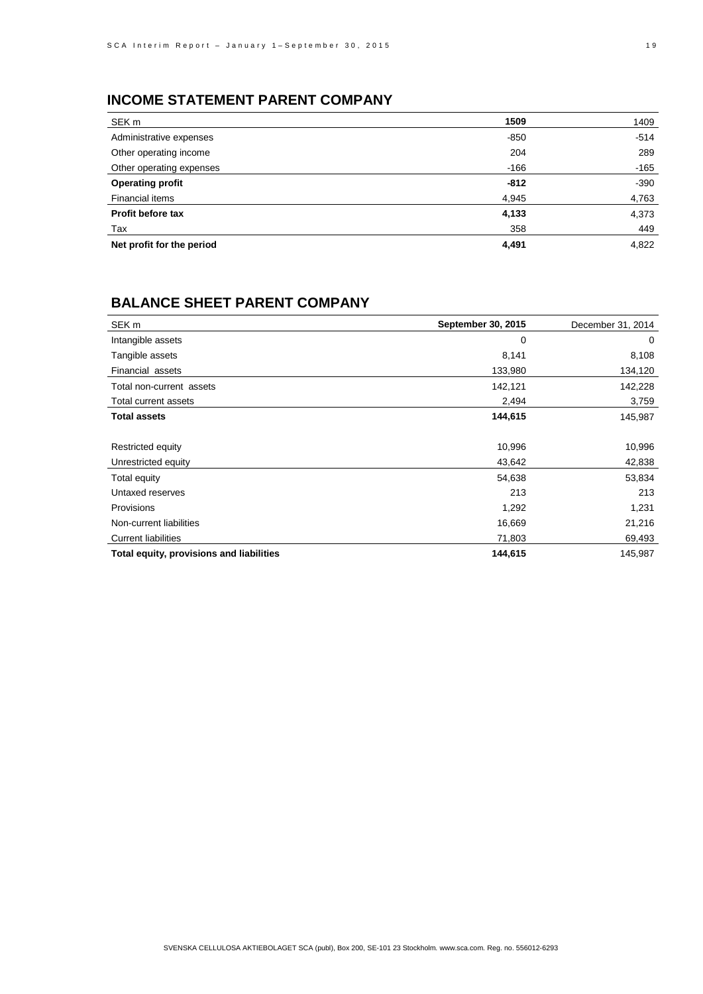# **INCOME STATEMENT PARENT COMPANY**

| SEK m                     | 1509   | 1409   |
|---------------------------|--------|--------|
| Administrative expenses   | $-850$ | $-514$ |
| Other operating income    | 204    | 289    |
| Other operating expenses  | $-166$ | -165   |
| <b>Operating profit</b>   | $-812$ | $-390$ |
| Financial items           | 4,945  | 4,763  |
| Profit before tax         | 4,133  | 4,373  |
| Tax                       | 358    | 449    |
| Net profit for the period | 4,491  | 4,822  |

## **BALANCE SHEET PARENT COMPANY**

| SEK <sub>m</sub>                         | September 30, 2015 | December 31, 2014 |
|------------------------------------------|--------------------|-------------------|
| Intangible assets                        | 0                  | 0                 |
| Tangible assets                          | 8,141              | 8,108             |
| Financial assets                         | 133,980            | 134,120           |
| Total non-current assets                 | 142,121            | 142,228           |
| Total current assets                     | 2,494              | 3,759             |
| <b>Total assets</b>                      | 144,615            | 145,987           |
|                                          |                    |                   |
| Restricted equity                        | 10,996             | 10,996            |
| Unrestricted equity                      | 43,642             | 42,838            |
| Total equity                             | 54,638             | 53,834            |
| Untaxed reserves                         | 213                | 213               |
| <b>Provisions</b>                        | 1,292              | 1,231             |
| Non-current liabilities                  | 16,669             | 21,216            |
| <b>Current liabilities</b>               | 71,803             | 69,493            |
| Total equity, provisions and liabilities | 144,615            | 145,987           |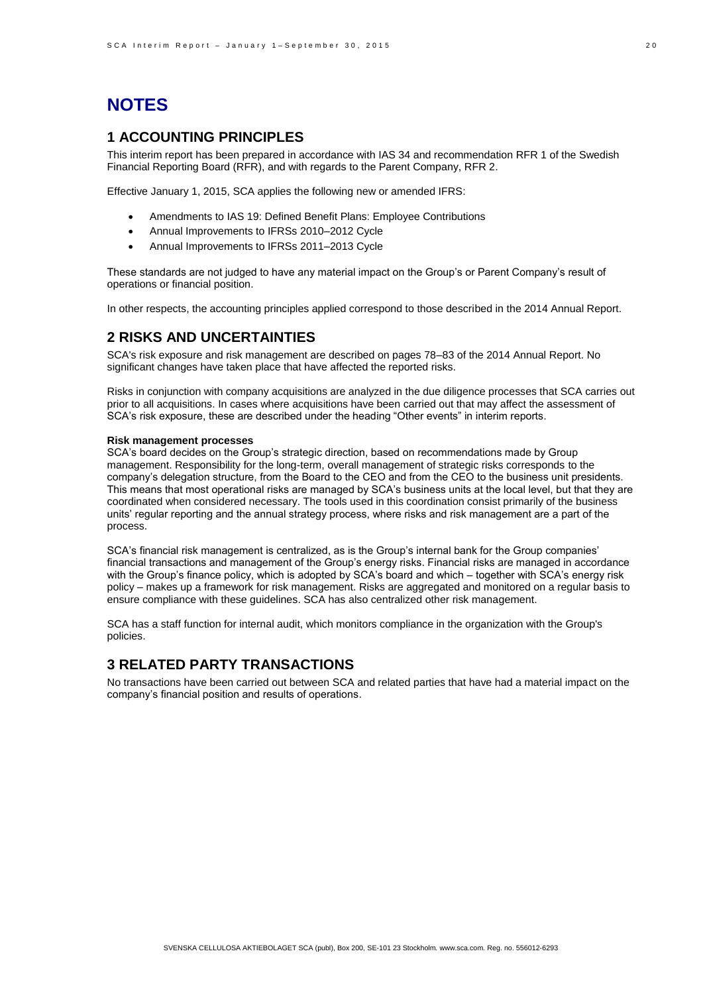# **NOTES**

## **1 ACCOUNTING PRINCIPLES**

This interim report has been prepared in accordance with IAS 34 and recommendation RFR 1 of the Swedish Financial Reporting Board (RFR), and with regards to the Parent Company, RFR 2.

Effective January 1, 2015, SCA applies the following new or amended IFRS:

- Amendments to IAS 19: Defined Benefit Plans: Employee Contributions
- Annual Improvements to IFRSs 2010–2012 Cycle
- Annual Improvements to IFRSs 2011–2013 Cycle

These standards are not judged to have any material impact on the Group's or Parent Company's result of operations or financial position.

In other respects, the accounting principles applied correspond to those described in the 2014 Annual Report.

## **2 RISKS AND UNCERTAINTIES**

SCA's risk exposure and risk management are described on pages 78–83 of the 2014 Annual Report. No significant changes have taken place that have affected the reported risks.

Risks in conjunction with company acquisitions are analyzed in the due diligence processes that SCA carries out prior to all acquisitions. In cases where acquisitions have been carried out that may affect the assessment of SCA's risk exposure, these are described under the heading "Other events" in interim reports.

#### **Risk management processes**

SCA's board decides on the Group's strategic direction, based on recommendations made by Group management. Responsibility for the long-term, overall management of strategic risks corresponds to the company's delegation structure, from the Board to the CEO and from the CEO to the business unit presidents. This means that most operational risks are managed by SCA's business units at the local level, but that they are coordinated when considered necessary. The tools used in this coordination consist primarily of the business units' regular reporting and the annual strategy process, where risks and risk management are a part of the process.

SCA's financial risk management is centralized, as is the Group's internal bank for the Group companies' financial transactions and management of the Group's energy risks. Financial risks are managed in accordance with the Group's finance policy, which is adopted by SCA's board and which – together with SCA's energy risk policy – makes up a framework for risk management. Risks are aggregated and monitored on a regular basis to ensure compliance with these guidelines. SCA has also centralized other risk management.

SCA has a staff function for internal audit, which monitors compliance in the organization with the Group's policies.

## **3 RELATED PARTY TRANSACTIONS**

No transactions have been carried out between SCA and related parties that have had a material impact on the company's financial position and results of operations.